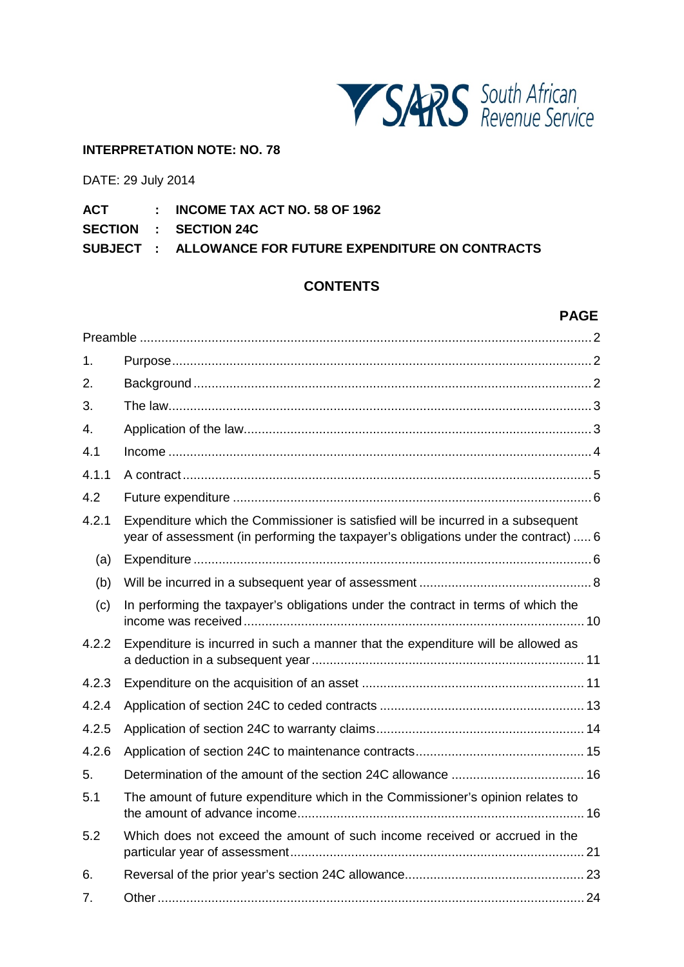

#### **INTERPRETATION NOTE: NO. 78**

DATE: 29 July 2014

- **ACT : INCOME TAX ACT NO. 58 OF 1962**
- **SECTION : SECTION 24C**

**SUBJECT : ALLOWANCE FOR FUTURE EXPENDITURE ON CONTRACTS**

# **CONTENTS**

# **PAGE**

<span id="page-0-0"></span>

| 1.    |                                                                                                                                                                         |
|-------|-------------------------------------------------------------------------------------------------------------------------------------------------------------------------|
| 2.    |                                                                                                                                                                         |
| 3.    |                                                                                                                                                                         |
| 4.    |                                                                                                                                                                         |
| 4.1   |                                                                                                                                                                         |
| 4.1.1 |                                                                                                                                                                         |
| 4.2   |                                                                                                                                                                         |
| 4.2.1 | Expenditure which the Commissioner is satisfied will be incurred in a subsequent<br>year of assessment (in performing the taxpayer's obligations under the contract)  6 |
| (a)   |                                                                                                                                                                         |
| (b)   |                                                                                                                                                                         |
| (c)   | In performing the taxpayer's obligations under the contract in terms of which the                                                                                       |
| 4.2.2 | Expenditure is incurred in such a manner that the expenditure will be allowed as                                                                                        |
| 4.2.3 |                                                                                                                                                                         |
| 4.2.4 |                                                                                                                                                                         |
| 4.2.5 |                                                                                                                                                                         |
| 4.2.6 |                                                                                                                                                                         |
| 5.    |                                                                                                                                                                         |
| 5.1   | The amount of future expenditure which in the Commissioner's opinion relates to                                                                                         |
| 5.2   | Which does not exceed the amount of such income received or accrued in the                                                                                              |
| 6.    |                                                                                                                                                                         |
| 7.    |                                                                                                                                                                         |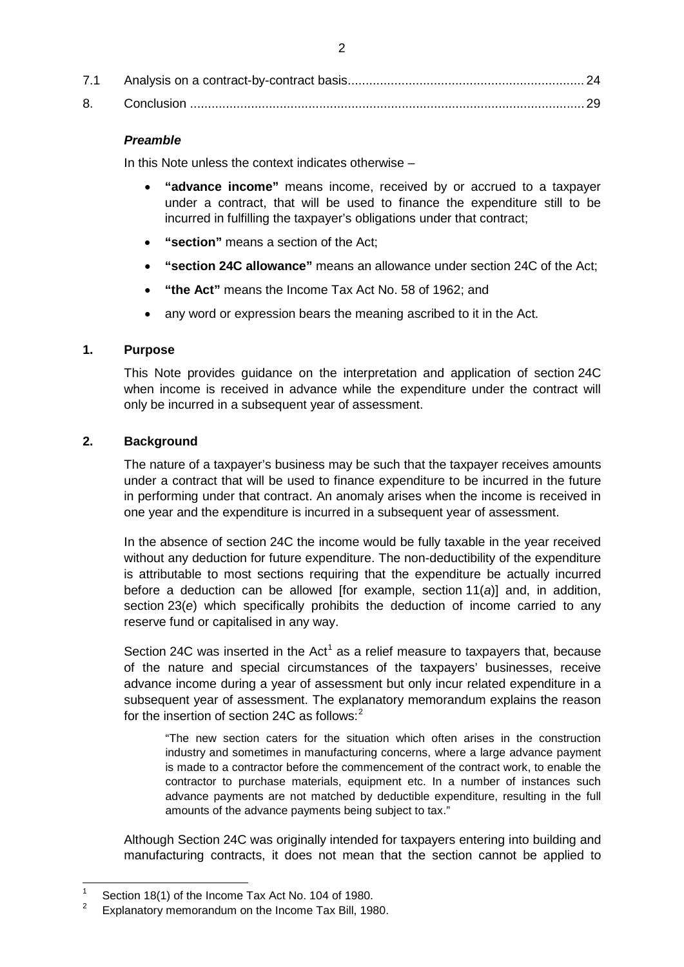# <span id="page-1-0"></span>*Preamble*

In this Note unless the context indicates otherwise –

- **"advance income"** means income, received by or accrued to a taxpayer under a contract, that will be used to finance the expenditure still to be incurred in fulfilling the taxpayer's obligations under that contract;
- **"section"** means a section of the Act;
- **"section 24C allowance"** means an allowance under section 24C of the Act;
- **"the Act"** means the Income Tax Act No. 58 of 1962; and
- any word or expression bears the meaning ascribed to it in the Act.

# <span id="page-1-1"></span>**1. Purpose**

This Note provides guidance on the interpretation and application of section 24C when income is received in advance while the expenditure under the contract will only be incurred in a subsequent year of assessment.

# <span id="page-1-2"></span>**2. Background**

The nature of a taxpayer's business may be such that the taxpayer receives amounts under a contract that will be used to finance expenditure to be incurred in the future in performing under that contract. An anomaly arises when the income is received in one year and the expenditure is incurred in a subsequent year of assessment.

In the absence of section 24C the income would be fully taxable in the year received without any deduction for future expenditure. The non-deductibility of the expenditure is attributable to most sections requiring that the expenditure be actually incurred before a deduction can be allowed [for example, section 11(*a*)] and, in addition, section 23(*e*) which specifically prohibits the deduction of income carried to any reserve fund or capitalised in any way.

Section 24C was inserted in the Act<sup>[1](#page-0-0)</sup> as a relief measure to taxpayers that, because of the nature and special circumstances of the taxpayers' businesses, receive advance income during a year of assessment but only incur related expenditure in a subsequent year of assessment. The explanatory memorandum explains the reason for the insertion of section 24C as follows:[2](#page-1-3)

"The new section caters for the situation which often arises in the construction industry and sometimes in manufacturing concerns, where a large advance payment is made to a contractor before the commencement of the contract work, to enable the contractor to purchase materials, equipment etc. In a number of instances such advance payments are not matched by deductible expenditure, resulting in the full amounts of the advance payments being subject to tax."

Although Section 24C was originally intended for taxpayers entering into building and manufacturing contracts, it does not mean that the section cannot be applied to

<span id="page-1-4"></span><sup>&</sup>lt;sup>1</sup> Section 18(1) of the Income Tax Act No. 104 of 1980.

<span id="page-1-3"></span><sup>2</sup> Explanatory memorandum on the Income Tax Bill, 1980.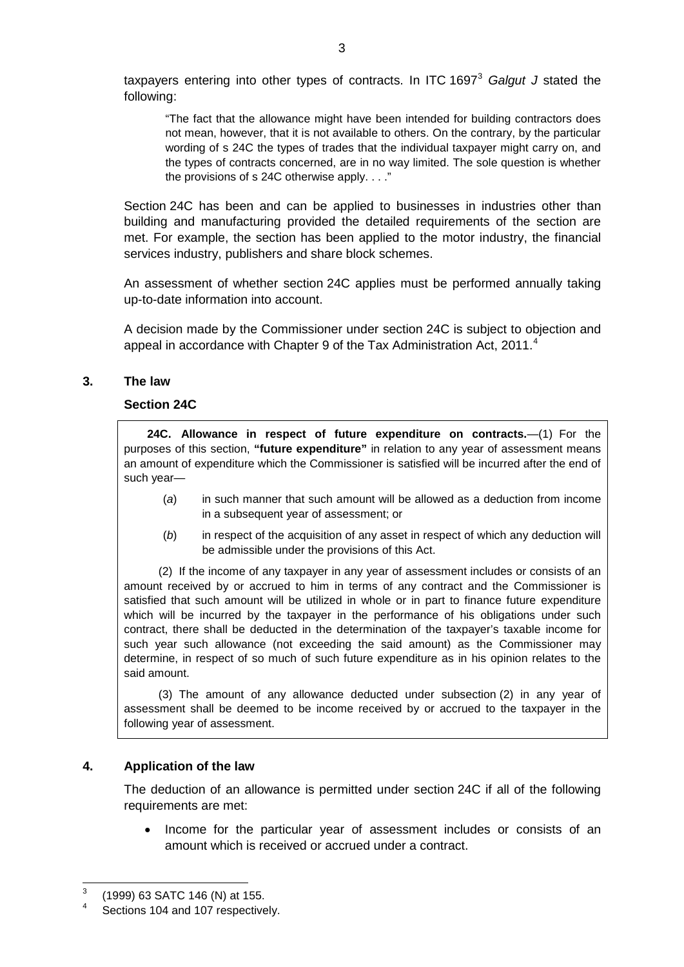taxpayers entering into other types of contracts. In ITC 1697[3](#page-1-4) *Galgut J* stated the following:

"The fact that the allowance might have been intended for building contractors does not mean, however, that it is not available to others. On the contrary, by the particular wording of s 24C the types of trades that the individual taxpayer might carry on, and the types of contracts concerned, are in no way limited. The sole question is whether the provisions of s 24C otherwise apply. . . ."

Section 24C has been and can be applied to businesses in industries other than building and manufacturing provided the detailed requirements of the section are met. For example, the section has been applied to the motor industry, the financial services industry, publishers and share block schemes.

An assessment of whether section 24C applies must be performed annually taking up-to-date information into account.

A decision made by the Commissioner under section 24C is subject to objection and appeal in accordance with Chapter 9 of the Tax Administration Act, 2011.<sup>[4](#page-2-2)</sup>

# <span id="page-2-0"></span>**3. The law**

#### **Section 24C**

**24C. Allowance in respect of future expenditure on contracts.**—(1) For the purposes of this section, **"future expenditure"** in relation to any year of assessment means an amount of expenditure which the Commissioner is satisfied will be incurred after the end of such year—

- (*a*) in such manner that such amount will be allowed as a deduction from income in a subsequent year of assessment; or
- (*b*) in respect of the acquisition of any asset in respect of which any deduction will be admissible under the provisions of this Act.

(2) If the income of any taxpayer in any year of assessment includes or consists of an amount received by or accrued to him in terms of any contract and the Commissioner is satisfied that such amount will be utilized in whole or in part to finance future expenditure which will be incurred by the taxpayer in the performance of his obligations under such contract, there shall be deducted in the determination of the taxpayer's taxable income for such year such allowance (not exceeding the said amount) as the Commissioner may determine, in respect of so much of such future expenditure as in his opinion relates to the said amount.

(3) The amount of any allowance deducted under subsection (2) in any year of assessment shall be deemed to be income received by or accrued to the taxpayer in the following year of assessment.

# <span id="page-2-1"></span>**4. Application of the law**

The deduction of an allowance is permitted under section 24C if all of the following requirements are met:

• Income for the particular year of assessment includes or consists of an amount which is received or accrued under a contract.

<span id="page-2-3"></span> $3$  (1999) 63 SATC 146 (N) at 155.

<span id="page-2-2"></span>Sections 104 and 107 respectively.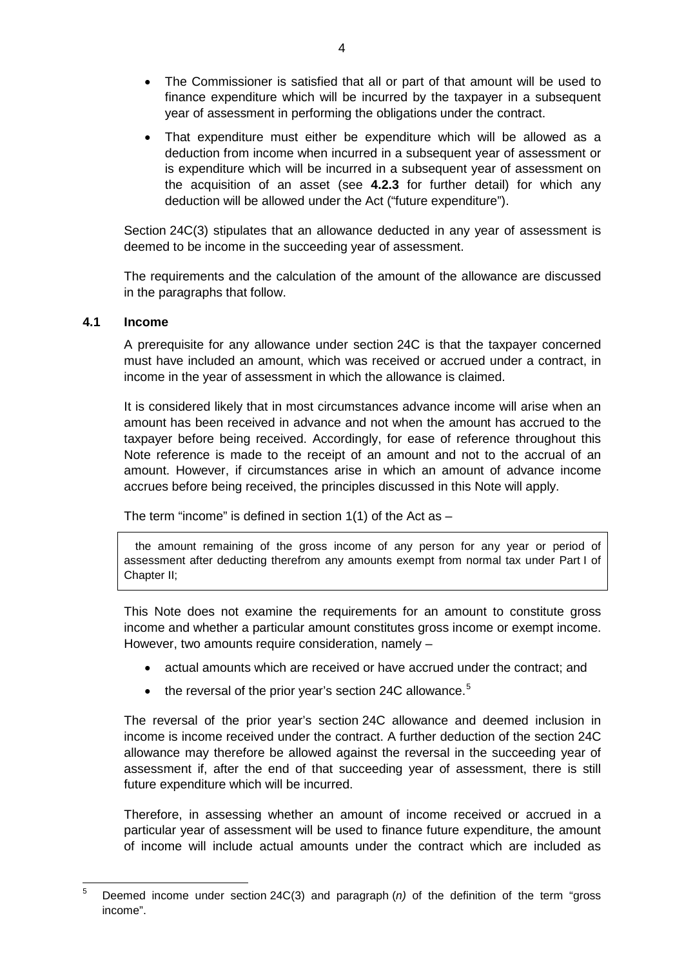- The Commissioner is satisfied that all or part of that amount will be used to finance expenditure which will be incurred by the taxpayer in a subsequent year of assessment in performing the obligations under the contract.
- That expenditure must either be expenditure which will be allowed as a deduction from income when incurred in a subsequent year of assessment or is expenditure which will be incurred in a subsequent year of assessment on the acquisition of an asset (see **[4.2.3](#page-10-1)** for further detail) for which any deduction will be allowed under the Act ("future expenditure").

Section 24C(3) stipulates that an allowance deducted in any year of assessment is deemed to be income in the succeeding year of assessment.

The requirements and the calculation of the amount of the allowance are discussed in the paragraphs that follow.

# <span id="page-3-0"></span>**4.1 Income**

A prerequisite for any allowance under section 24C is that the taxpayer concerned must have included an amount, which was received or accrued under a contract, in income in the year of assessment in which the allowance is claimed.

It is considered likely that in most circumstances advance income will arise when an amount has been received in advance and not when the amount has accrued to the taxpayer before being received. Accordingly, for ease of reference throughout this Note reference is made to the receipt of an amount and not to the accrual of an amount. However, if circumstances arise in which an amount of advance income accrues before being received, the principles discussed in this Note will apply.

The term "income" is defined in section  $1(1)$  of the Act as  $-$ 

the amount remaining of the gross income of any person for any year or period of assessment after deducting therefrom any amounts exempt from normal tax under Part I of Chapter II;

This Note does not examine the requirements for an amount to constitute gross income and whether a particular amount constitutes gross income or exempt income. However, two amounts require consideration, namely –

- actual amounts which are received or have accrued under the contract; and
- the reversal of the prior year's section 24C allowance.<sup>[5](#page-2-3)</sup>

The reversal of the prior year's section 24C allowance and deemed inclusion in income is income received under the contract. A further deduction of the section 24C allowance may therefore be allowed against the reversal in the succeeding year of assessment if, after the end of that succeeding year of assessment, there is still future expenditure which will be incurred.

Therefore, in assessing whether an amount of income received or accrued in a particular year of assessment will be used to finance future expenditure, the amount of income will include actual amounts under the contract which are included as

<span id="page-3-1"></span> <sup>5</sup> Deemed income under section 24C(3) and paragraph (*n)* of the definition of the term "gross income".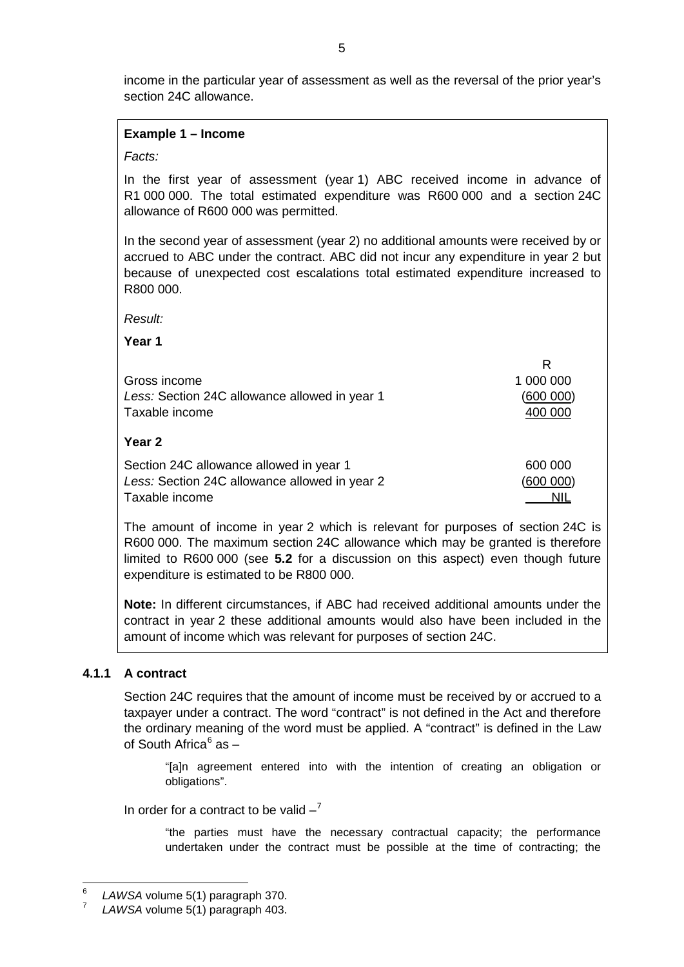income in the particular year of assessment as well as the reversal of the prior year's section 24C allowance.

#### **Example 1 – Income**

#### *Facts:*

In the first year of assessment (year 1) ABC received income in advance of R1 000 000. The total estimated expenditure was R600 000 and a section 24C allowance of R600 000 was permitted.

In the second year of assessment (year 2) no additional amounts were received by or accrued to ABC under the contract. ABC did not incur any expenditure in year 2 but because of unexpected cost escalations total estimated expenditure increased to R800 000.

*Result:*

**Year 1**

|                                               | R          |
|-----------------------------------------------|------------|
| Gross income                                  | 1 000 000  |
| Less: Section 24C allowance allowed in year 1 | (600 000)  |
| Taxable income                                | 400 000    |
| Year 2                                        |            |
| Section 24C allowance allowed in year 1       | 600 000    |
| Less: Section 24C allowance allowed in year 2 | (600 000)  |
| Taxable income                                | <u>NIL</u> |

The amount of income in year 2 which is relevant for purposes of section 24C is R600 000. The maximum section 24C allowance which may be granted is therefore limited to R600 000 (see **[5.2](#page-20-0)** for a discussion on this aspect) even though future expenditure is estimated to be R800 000.

**Note:** In different circumstances, if ABC had received additional amounts under the contract in year 2 these additional amounts would also have been included in the amount of income which was relevant for purposes of section 24C.

#### <span id="page-4-0"></span>**4.1.1 A contract**

Section 24C requires that the amount of income must be received by or accrued to a taxpayer under a contract. The word "contract" is not defined in the Act and therefore the ordinary meaning of the word must be applied. A "contract" is defined in the Law of South Africa $6$  as  $-$ 

"[a]n agreement entered into with the intention of creating an obligation or obligations".

In order for a contract to be valid  $-7$  $-7$ 

"the parties must have the necessary contractual capacity; the performance undertaken under the contract must be possible at the time of contracting; the

<span id="page-4-2"></span> <sup>6</sup> *LAWSA* volume 5(1) paragraph 370.

<span id="page-4-1"></span>LAWSA volume 5(1) paragraph 403.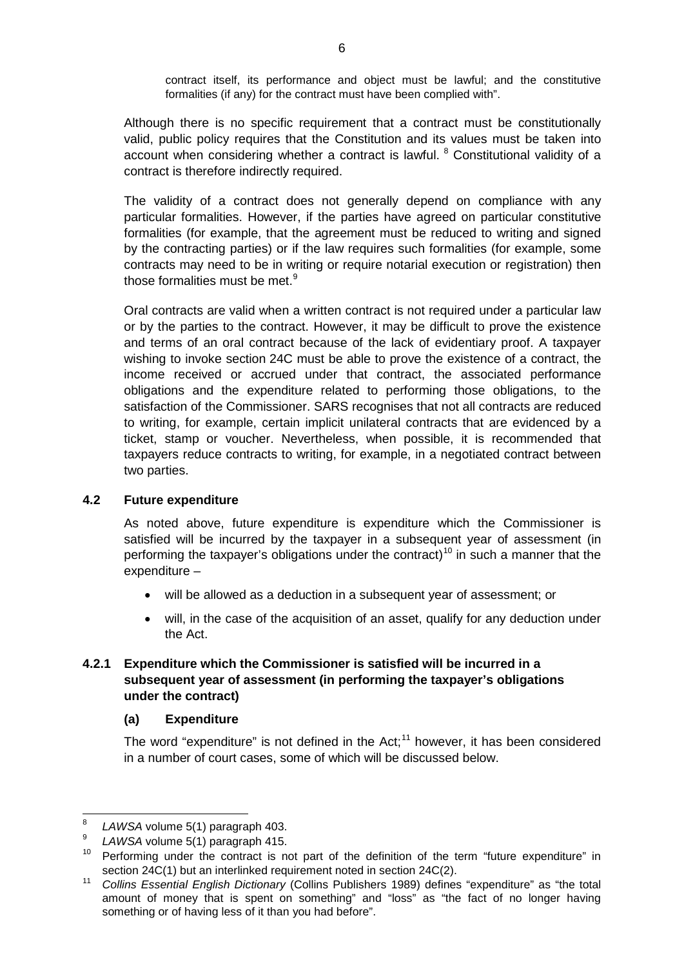contract itself, its performance and object must be lawful; and the constitutive formalities (if any) for the contract must have been complied with".

Although there is no specific requirement that a contract must be constitutionally valid, public policy requires that the Constitution and its values must be taken into account when considering whether a contract is lawful.  $8$  Constitutional validity of a contract is therefore indirectly required.

The validity of a contract does not generally depend on compliance with any particular formalities. However, if the parties have agreed on particular constitutive formalities (for example, that the agreement must be reduced to writing and signed by the contracting parties) or if the law requires such formalities (for example, some contracts may need to be in writing or require notarial execution or registration) then those formalities must be met.<sup>[9](#page-5-3)</sup>

Oral contracts are valid when a written contract is not required under a particular law or by the parties to the contract. However, it may be difficult to prove the existence and terms of an oral contract because of the lack of evidentiary proof. A taxpayer wishing to invoke section 24C must be able to prove the existence of a contract, the income received or accrued under that contract, the associated performance obligations and the expenditure related to performing those obligations, to the satisfaction of the Commissioner. SARS recognises that not all contracts are reduced to writing, for example, certain implicit unilateral contracts that are evidenced by a ticket, stamp or voucher. Nevertheless, when possible, it is recommended that taxpayers reduce contracts to writing, for example, in a negotiated contract between two parties.

# <span id="page-5-0"></span>**4.2 Future expenditure**

As noted above, future expenditure is expenditure which the Commissioner is satisfied will be incurred by the taxpayer in a subsequent year of assessment (in performing the taxpayer's obligations under the contract)<sup>[10](#page-5-4)</sup> in such a manner that the expenditure –

- will be allowed as a deduction in a subsequent year of assessment; or
- will, in the case of the acquisition of an asset, qualify for any deduction under the Act.

# <span id="page-5-1"></span>**4.2.1 Expenditure which the Commissioner is satisfied will be incurred in a subsequent year of assessment (in performing the taxpayer's obligations under the contract)**

# <span id="page-5-2"></span>**(a) Expenditure**

The word "expenditure" is not defined in the Act;<sup>[11](#page-5-5)</sup> however, it has been considered in a number of court cases, some of which will be discussed below.

 $\frac{8}{9}$  *LAWSA* volume 5(1) paragraph 403.

<sup>9</sup> *LAWSA* volume 5(1) paragraph 415.

<span id="page-5-6"></span><span id="page-5-4"></span><span id="page-5-3"></span><sup>10</sup> Performing under the contract is not part of the definition of the term "future expenditure" in section 24C(1) but an interlinked requirement noted in section 24C(2).

<span id="page-5-5"></span><sup>11</sup> *Collins Essential English Dictionary* (Collins Publishers 1989) defines "expenditure" as "the total amount of money that is spent on something" and "loss" as "the fact of no longer having something or of having less of it than you had before".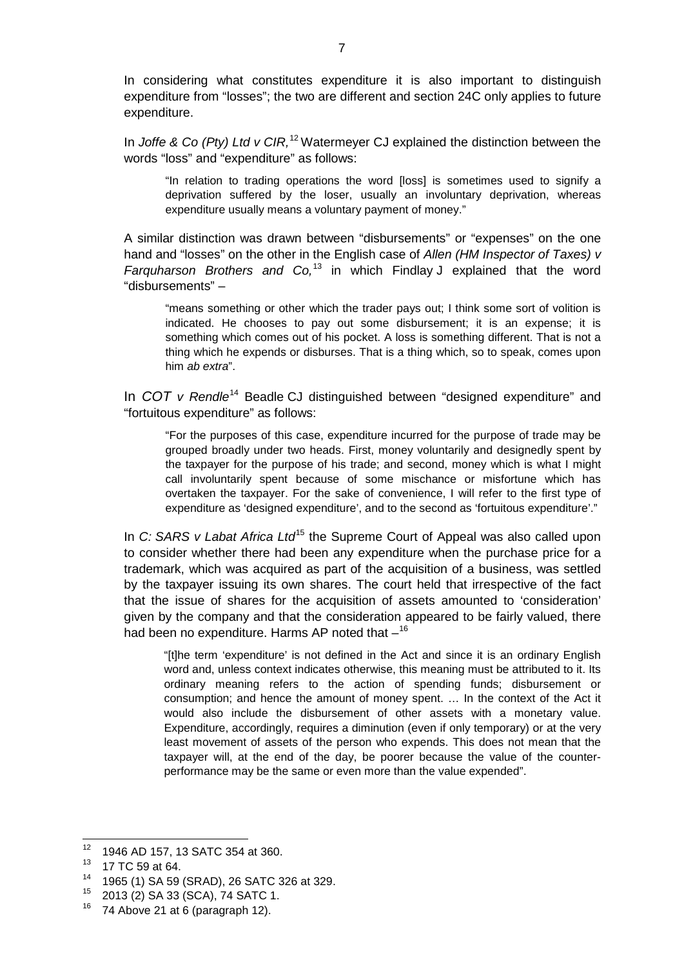In considering what constitutes expenditure it is also important to distinguish expenditure from "losses"; the two are different and section 24C only applies to future expenditure.

In *Joffe & Co (Pty) Ltd v CIR,* [12](#page-5-6) Watermeyer CJ explained the distinction between the words "loss" and "expenditure" as follows:

"In relation to trading operations the word [loss] is sometimes used to signify a deprivation suffered by the loser, usually an involuntary deprivation, whereas expenditure usually means a voluntary payment of money."

A similar distinction was drawn between "disbursements" or "expenses" on the one hand and "losses" on the other in the English case of *Allen (HM Inspector of Taxes) v Farquharson Brothers and Co,* [13](#page-6-0) in which Findlay J explained that the word "disbursements" –

"means something or other which the trader pays out; I think some sort of volition is indicated. He chooses to pay out some disbursement; it is an expense; it is something which comes out of his pocket. A loss is something different. That is not a thing which he expends or disburses. That is a thing which, so to speak, comes upon him *ab extra*".

In *COT v* Rendle<sup>[14](#page-6-1)</sup> Beadle CJ distinguished between "designed expenditure" and "fortuitous expenditure" as follows:

"For the purposes of this case, expenditure incurred for the purpose of trade may be grouped broadly under two heads. First, money voluntarily and designedly spent by the taxpayer for the purpose of his trade; and second, money which is what I might call involuntarily spent because of some mischance or misfortune which has overtaken the taxpayer. For the sake of convenience, I will refer to the first type of expenditure as 'designed expenditure', and to the second as 'fortuitous expenditure'."

In *C:* SARS v Labat Africa Ltd<sup>[15](#page-6-2)</sup> the Supreme Court of Appeal was also called upon to consider whether there had been any expenditure when the purchase price for a trademark, which was acquired as part of the acquisition of a business, was settled by the taxpayer issuing its own shares. The court held that irrespective of the fact that the issue of shares for the acquisition of assets amounted to 'consideration' given by the company and that the consideration appeared to be fairly valued, there had been no expenditure. Harms AP noted that  $-$ <sup>[16](#page-6-3)</sup>

"[t]he term 'expenditure' is not defined in the Act and since it is an ordinary English word and, unless context indicates otherwise, this meaning must be attributed to it. Its ordinary meaning refers to the action of spending funds; disbursement or consumption; and hence the amount of money spent. … In the context of the Act it would also include the disbursement of other assets with a monetary value. Expenditure, accordingly, requires a diminution (even if only temporary) or at the very least movement of assets of the person who expends. This does not mean that the taxpayer will, at the end of the day, be poorer because the value of the counterperformance may be the same or even more than the value expended".

<sup>&</sup>lt;sup>12</sup> 1946 AD 157, 13 SATC 354 at 360.

<sup>13</sup> 17 TC 59 at 64.

<span id="page-6-1"></span><span id="page-6-0"></span><sup>&</sup>lt;sup>14</sup> 1965 (1) SA 59 (SRAD), 26 SATC 326 at 329.

<span id="page-6-3"></span><span id="page-6-2"></span> $^{15}$  2013 (2) SA 33 (SCA), 74 SATC 1.

<sup>74</sup> Above 21 at 6 (paragraph 12).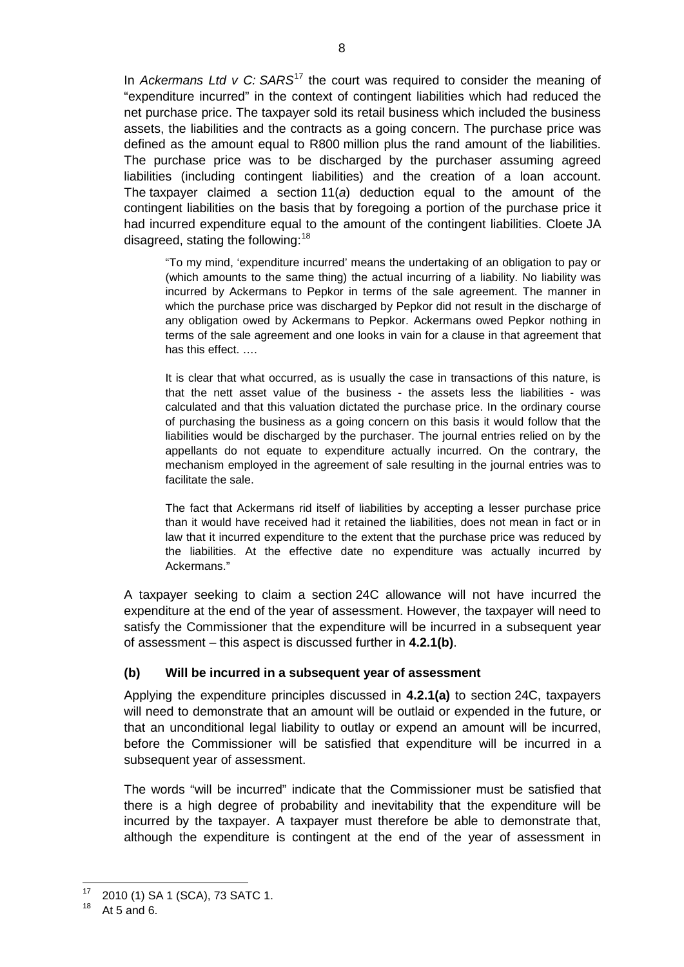In *Ackermans Ltd v C:* SARS<sup>[17](#page-6-2)</sup> the court was required to consider the meaning of "expenditure incurred" in the context of contingent liabilities which had reduced the net purchase price. The taxpayer sold its retail business which included the business assets, the liabilities and the contracts as a going concern. The purchase price was defined as the amount equal to R800 million plus the rand amount of the liabilities. The purchase price was to be discharged by the purchaser assuming agreed liabilities (including contingent liabilities) and the creation of a loan account. The taxpayer claimed a section 11(*a*) deduction equal to the amount of the contingent liabilities on the basis that by foregoing a portion of the purchase price it had incurred expenditure equal to the amount of the contingent liabilities. Cloete JA disagreed, stating the following:  $18$ 

"To my mind, 'expenditure incurred' means the undertaking of an obligation to pay or (which amounts to the same thing) the actual incurring of a liability. No liability was incurred by Ackermans to Pepkor in terms of the sale agreement. The manner in which the purchase price was discharged by Pepkor did not result in the discharge of any obligation owed by Ackermans to Pepkor. Ackermans owed Pepkor nothing in terms of the sale agreement and one looks in vain for a clause in that agreement that has this effect. ….

It is clear that what occurred, as is usually the case in transactions of this nature, is that the nett asset value of the business - the assets less the liabilities - was calculated and that this valuation dictated the purchase price. In the ordinary course of purchasing the business as a going concern on this basis it would follow that the liabilities would be discharged by the purchaser. The journal entries relied on by the appellants do not equate to expenditure actually incurred. On the contrary, the mechanism employed in the agreement of sale resulting in the journal entries was to facilitate the sale.

The fact that Ackermans rid itself of liabilities by accepting a lesser purchase price than it would have received had it retained the liabilities, does not mean in fact or in law that it incurred expenditure to the extent that the purchase price was reduced by the liabilities. At the effective date no expenditure was actually incurred by Ackermans."

A taxpayer seeking to claim a section 24C allowance will not have incurred the expenditure at the end of the year of assessment. However, the taxpayer will need to satisfy the Commissioner that the expenditure will be incurred in a subsequent year of assessment – this aspect is discussed further in **[4.2.1\(b\)](#page-7-0)**.

# <span id="page-7-0"></span>**(b) Will be incurred in a subsequent year of assessment**

Applying the expenditure principles discussed in **[4.2.1\(a\)](#page-5-2)** to section 24C, taxpayers will need to demonstrate that an amount will be outlaid or expended in the future, or that an unconditional legal liability to outlay or expend an amount will be incurred, before the Commissioner will be satisfied that expenditure will be incurred in a subsequent year of assessment.

The words "will be incurred" indicate that the Commissioner must be satisfied that there is a high degree of probability and inevitability that the expenditure will be incurred by the taxpayer. A taxpayer must therefore be able to demonstrate that, although the expenditure is contingent at the end of the year of assessment in

<span id="page-7-2"></span> $17$  2010 (1) SA 1 (SCA), 73 SATC 1.

<span id="page-7-1"></span>At 5 and 6.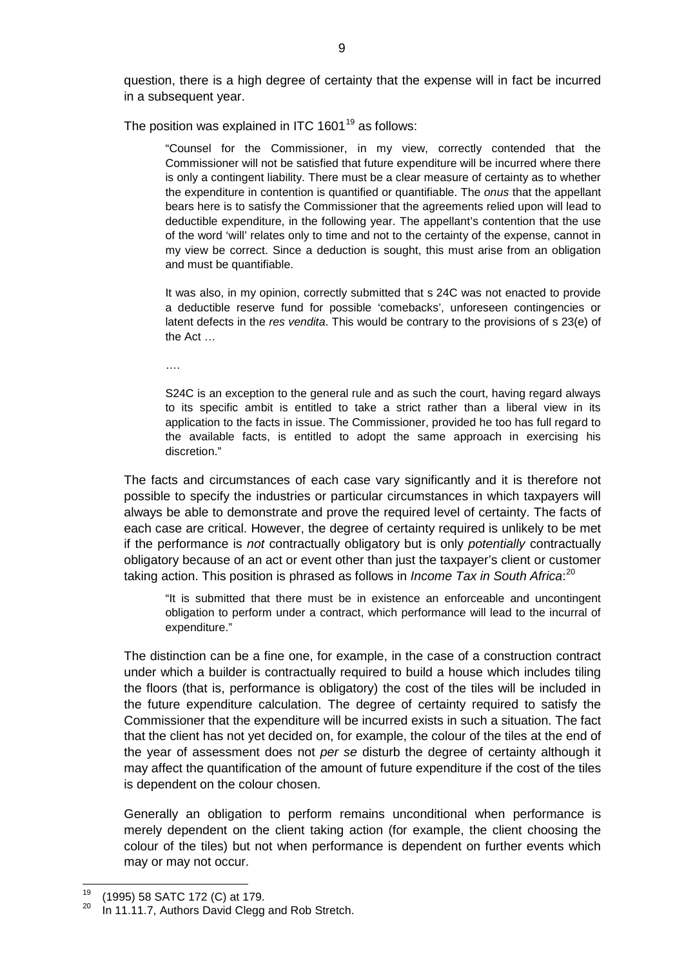question, there is a high degree of certainty that the expense will in fact be incurred in a subsequent year.

The position was explained in ITC  $1601^{19}$  $1601^{19}$  $1601^{19}$  as follows:

"Counsel for the Commissioner, in my view, correctly contended that the Commissioner will not be satisfied that future expenditure will be incurred where there is only a contingent liability. There must be a clear measure of certainty as to whether the expenditure in contention is quantified or quantifiable. The *onus* that the appellant bears here is to satisfy the Commissioner that the agreements relied upon will lead to deductible expenditure, in the following year. The appellant's contention that the use of the word 'will' relates only to time and not to the certainty of the expense, cannot in my view be correct. Since a deduction is sought, this must arise from an obligation and must be quantifiable.

It was also, in my opinion, correctly submitted that s 24C was not enacted to provide a deductible reserve fund for possible 'comebacks', unforeseen contingencies or latent defects in the *res vendita*. This would be contrary to the provisions of s 23(e) of the Act …

….

S24C is an exception to the general rule and as such the court, having regard always to its specific ambit is entitled to take a strict rather than a liberal view in its application to the facts in issue. The Commissioner, provided he too has full regard to the available facts, is entitled to adopt the same approach in exercising his discretion."

The facts and circumstances of each case vary significantly and it is therefore not possible to specify the industries or particular circumstances in which taxpayers will always be able to demonstrate and prove the required level of certainty. The facts of each case are critical. However, the degree of certainty required is unlikely to be met if the performance is *not* contractually obligatory but is only *potentially* contractually obligatory because of an act or event other than just the taxpayer's client or customer taking action. This position is phrased as follows in *Income Tax in South Africa*: [20](#page-8-0)

"It is submitted that there must be in existence an enforceable and uncontingent obligation to perform under a contract, which performance will lead to the incurral of expenditure."

The distinction can be a fine one, for example, in the case of a construction contract under which a builder is contractually required to build a house which includes tiling the floors (that is, performance is obligatory) the cost of the tiles will be included in the future expenditure calculation. The degree of certainty required to satisfy the Commissioner that the expenditure will be incurred exists in such a situation. The fact that the client has not yet decided on, for example, the colour of the tiles at the end of the year of assessment does not *per se* disturb the degree of certainty although it may affect the quantification of the amount of future expenditure if the cost of the tiles is dependent on the colour chosen.

<span id="page-8-1"></span>Generally an obligation to perform remains unconditional when performance is merely dependent on the client taking action (for example, the client choosing the colour of the tiles) but not when performance is dependent on further events which may or may not occur.

 <sup>19</sup> (1995) 58 SATC 172 (C) at 179.

<span id="page-8-0"></span>In 11.11.7, Authors David Clegg and Rob Stretch.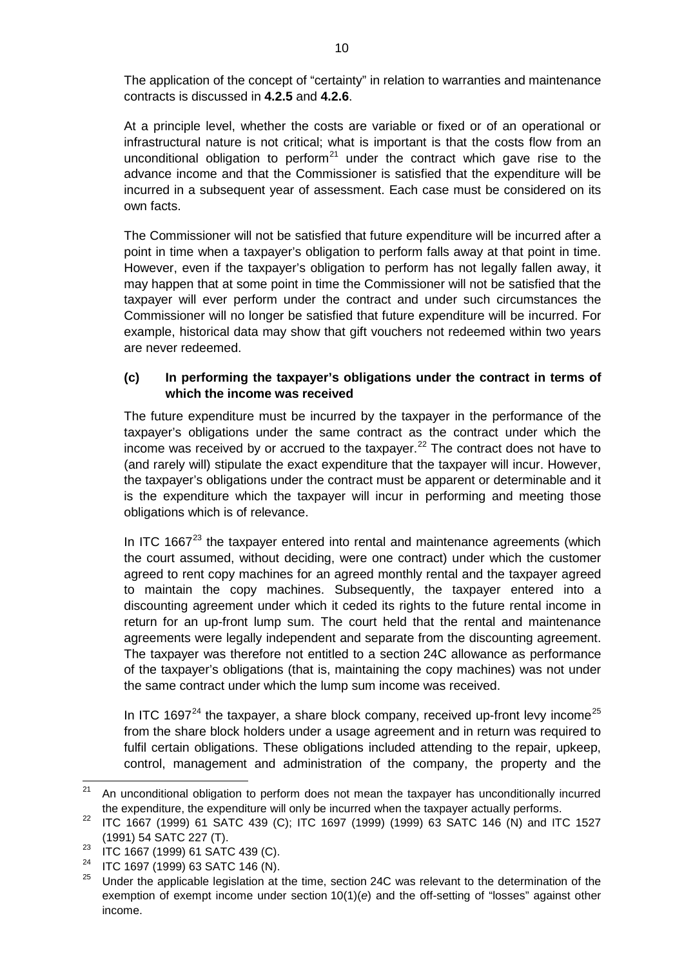The application of the concept of "certainty" in relation to warranties and maintenance contracts is discussed in **[4.2.5](#page-13-0)** and **[4.2.6](#page-14-0)**.

At a principle level, whether the costs are variable or fixed or of an operational or infrastructural nature is not critical; what is important is that the costs flow from an unconditional obligation to perform<sup>[21](#page-8-1)</sup> under the contract which gave rise to the advance income and that the Commissioner is satisfied that the expenditure will be incurred in a subsequent year of assessment. Each case must be considered on its own facts.

The Commissioner will not be satisfied that future expenditure will be incurred after a point in time when a taxpayer's obligation to perform falls away at that point in time. However, even if the taxpayer's obligation to perform has not legally fallen away, it may happen that at some point in time the Commissioner will not be satisfied that the taxpayer will ever perform under the contract and under such circumstances the Commissioner will no longer be satisfied that future expenditure will be incurred. For example, historical data may show that gift vouchers not redeemed within two years are never redeemed.

# <span id="page-9-0"></span>**(c) In performing the taxpayer's obligations under the contract in terms of which the income was received**

The future expenditure must be incurred by the taxpayer in the performance of the taxpayer's obligations under the same contract as the contract under which the income was received by or accrued to the taxpayer. $^{22}$  $^{22}$  $^{22}$  The contract does not have to (and rarely will) stipulate the exact expenditure that the taxpayer will incur. However, the taxpayer's obligations under the contract must be apparent or determinable and it is the expenditure which the taxpayer will incur in performing and meeting those obligations which is of relevance.

In ITC 1667 $23$  the taxpayer entered into rental and maintenance agreements (which the court assumed, without deciding, were one contract) under which the customer agreed to rent copy machines for an agreed monthly rental and the taxpayer agreed to maintain the copy machines. Subsequently, the taxpayer entered into a discounting agreement under which it ceded its rights to the future rental income in return for an up-front lump sum. The court held that the rental and maintenance agreements were legally independent and separate from the discounting agreement. The taxpayer was therefore not entitled to a section 24C allowance as performance of the taxpayer's obligations (that is, maintaining the copy machines) was not under the same contract under which the lump sum income was received.

In ITC 1697 $^{24}$  $^{24}$  $^{24}$  the taxpayer, a share block company, received up-front levy income $^{25}$  $^{25}$  $^{25}$ from the share block holders under a usage agreement and in return was required to fulfil certain obligations. These obligations included attending to the repair, upkeep, control, management and administration of the company, the property and the

 $21$  An unconditional obligation to perform does not mean the taxpayer has unconditionally incurred the expenditure, the expenditure will only be incurred when the taxpayer actually performs.

<span id="page-9-1"></span><sup>22</sup> ITC 1667 (1999) 61 SATC 439 (C); ITC 1697 (1999) (1999) 63 SATC 146 (N) and ITC 1527 (1991) 54 SATC 227 (T).

<span id="page-9-2"></span><sup>&</sup>lt;sup>23</sup> ITC 1667 (1999) 61 SATC 439 (C).

<span id="page-9-5"></span><span id="page-9-4"></span><span id="page-9-3"></span><sup>&</sup>lt;sup>24</sup> ITC 1697 (1999) 63 SATC 146 (N).

Under the applicable legislation at the time, section 24C was relevant to the determination of the exemption of exempt income under section 10(1)(*e*) and the off-setting of "losses" against other income.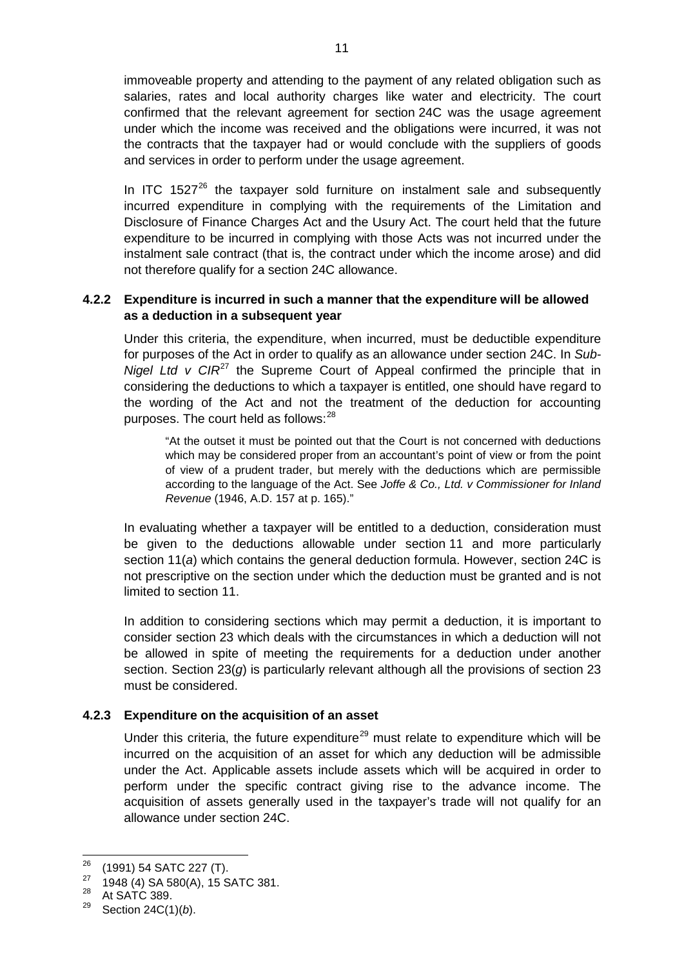immoveable property and attending to the payment of any related obligation such as salaries, rates and local authority charges like water and electricity. The court confirmed that the relevant agreement for section 24C was the usage agreement under which the income was received and the obligations were incurred, it was not the contracts that the taxpayer had or would conclude with the suppliers of goods and services in order to perform under the usage agreement.

In ITC  $1527^{26}$  $1527^{26}$  $1527^{26}$  the taxpayer sold furniture on instalment sale and subsequently incurred expenditure in complying with the requirements of the Limitation and Disclosure of Finance Charges Act and the Usury Act. The court held that the future expenditure to be incurred in complying with those Acts was not incurred under the instalment sale contract (that is, the contract under which the income arose) and did not therefore qualify for a section 24C allowance.

# <span id="page-10-0"></span>**4.2.2 Expenditure is incurred in such a manner that the expenditure will be allowed as a deduction in a subsequent year**

Under this criteria, the expenditure, when incurred, must be deductible expenditure for purposes of the Act in order to qualify as an allowance under section 24C. In *Sub-Nigel Ltd v CIR*<sup>[27](#page-10-2)</sup> the Supreme Court of Appeal confirmed the principle that in considering the deductions to which a taxpayer is entitled, one should have regard to the wording of the Act and not the treatment of the deduction for accounting purposes. The court held as follows:<sup>[28](#page-10-3)</sup>

"At the outset it must be pointed out that the Court is not concerned with deductions which may be considered proper from an accountant's point of view or from the point of view of a prudent trader, but merely with the deductions which are permissible according to the language of the Act. See *Joffe & Co., Ltd. v Commissioner for Inland Revenue* (1946, A.D. 157 at p. 165)."

In evaluating whether a taxpayer will be entitled to a deduction, consideration must be given to the deductions allowable under section 11 and more particularly section 11(*a*) which contains the general deduction formula. However, section 24C is not prescriptive on the section under which the deduction must be granted and is not limited to section 11.

In addition to considering sections which may permit a deduction, it is important to consider section 23 which deals with the circumstances in which a deduction will not be allowed in spite of meeting the requirements for a deduction under another section. Section 23(*g*) is particularly relevant although all the provisions of section 23 must be considered.

# <span id="page-10-1"></span>**4.2.3 Expenditure on the acquisition of an asset**

Under this criteria, the future expenditure<sup>[29](#page-10-4)</sup> must relate to expenditure which will be incurred on the acquisition of an asset for which any deduction will be admissible under the Act. Applicable assets include assets which will be acquired in order to perform under the specific contract giving rise to the advance income. The acquisition of assets generally used in the taxpayer's trade will not qualify for an allowance under section 24C.

 <sup>26</sup> (1991) 54 SATC 227 (T).

<span id="page-10-2"></span><sup>27 1948 (4)</sup> SA 580(A), 15 SATC 381.<br><sup>28</sup> At SATC 389.

<span id="page-10-5"></span><span id="page-10-4"></span><span id="page-10-3"></span><sup>29</sup> Section 24C(1)(*b*).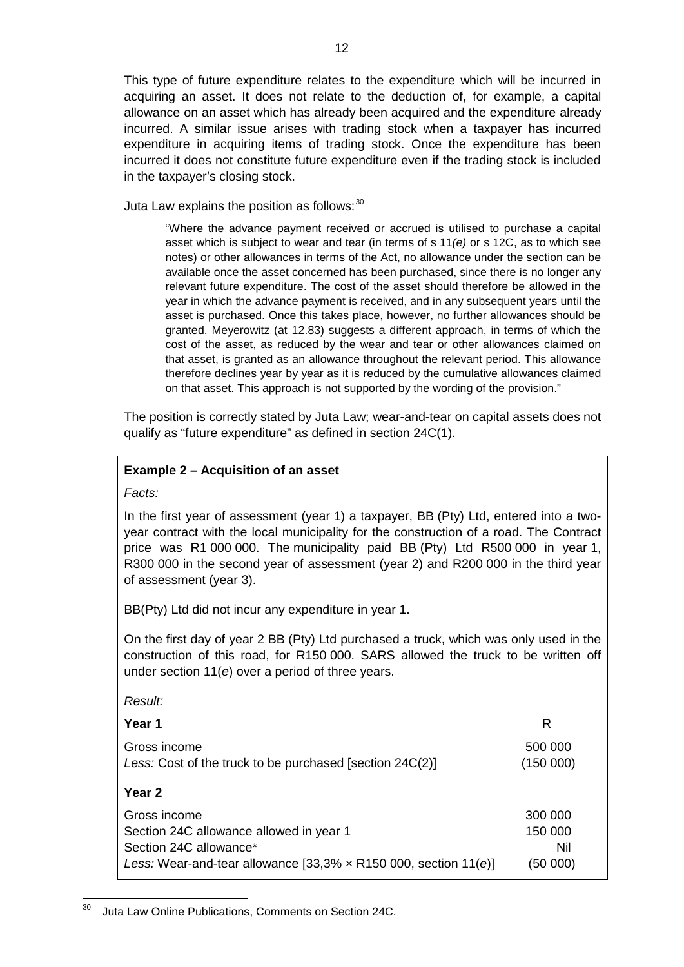This type of future expenditure relates to the expenditure which will be incurred in acquiring an asset. It does not relate to the deduction of, for example, a capital allowance on an asset which has already been acquired and the expenditure already incurred. A similar issue arises with trading stock when a taxpayer has incurred expenditure in acquiring items of trading stock. Once the expenditure has been incurred it does not constitute future expenditure even if the trading stock is included in the taxpayer's closing stock.

Juta Law explains the position as follows:  $30$ 

"Where the advance payment received or accrued is utilised to purchase a capital asset which is subject to wear and tear (in terms of s 11*(e)* or s 12C, as to which see notes) or other allowances in terms of the Act, no allowance under the section can be available once the asset concerned has been purchased, since there is no longer any relevant future expenditure. The cost of the asset should therefore be allowed in the year in which the advance payment is received, and in any subsequent years until the asset is purchased. Once this takes place, however, no further allowances should be granted. Meyerowitz (at 12.83) suggests a different approach, in terms of which the cost of the asset, as reduced by the wear and tear or other allowances claimed on that asset, is granted as an allowance throughout the relevant period. This allowance therefore declines year by year as it is reduced by the cumulative allowances claimed on that asset. This approach is not supported by the wording of the provision."

The position is correctly stated by Juta Law; wear-and-tear on capital assets does not qualify as "future expenditure" as defined in section 24C(1).

# **Example 2 – Acquisition of an asset**

# *Facts:*

In the first year of assessment (year 1) a taxpayer, BB (Pty) Ltd, entered into a twoyear contract with the local municipality for the construction of a road. The Contract price was R1 000 000. The municipality paid BB (Pty) Ltd R500 000 in year 1, R300 000 in the second year of assessment (year 2) and R200 000 in the third year of assessment (year 3).

BB(Pty) Ltd did not incur any expenditure in year 1.

On the first day of year 2 BB (Pty) Ltd purchased a truck, which was only used in the construction of this road, for R150 000. SARS allowed the truck to be written off under section 11(*e*) over a period of three years.

| Result:                                                                                                                                                      |                                       |
|--------------------------------------------------------------------------------------------------------------------------------------------------------------|---------------------------------------|
| Year 1                                                                                                                                                       | R                                     |
| Gross income<br>Less: Cost of the truck to be purchased [section 24C(2)]                                                                                     | 500 000<br>(150000)                   |
| Year 2                                                                                                                                                       |                                       |
| Gross income<br>Section 24C allowance allowed in year 1<br>Section 24C allowance*<br>Less: Wear-and-tear allowance $[33,3% \times R150 000$ , section 11(e)] | 300 000<br>150 000<br>Nil<br>(50 000) |

<span id="page-11-0"></span><sup>&</sup>lt;sup>30</sup> Juta Law Online Publications, Comments on Section 24C.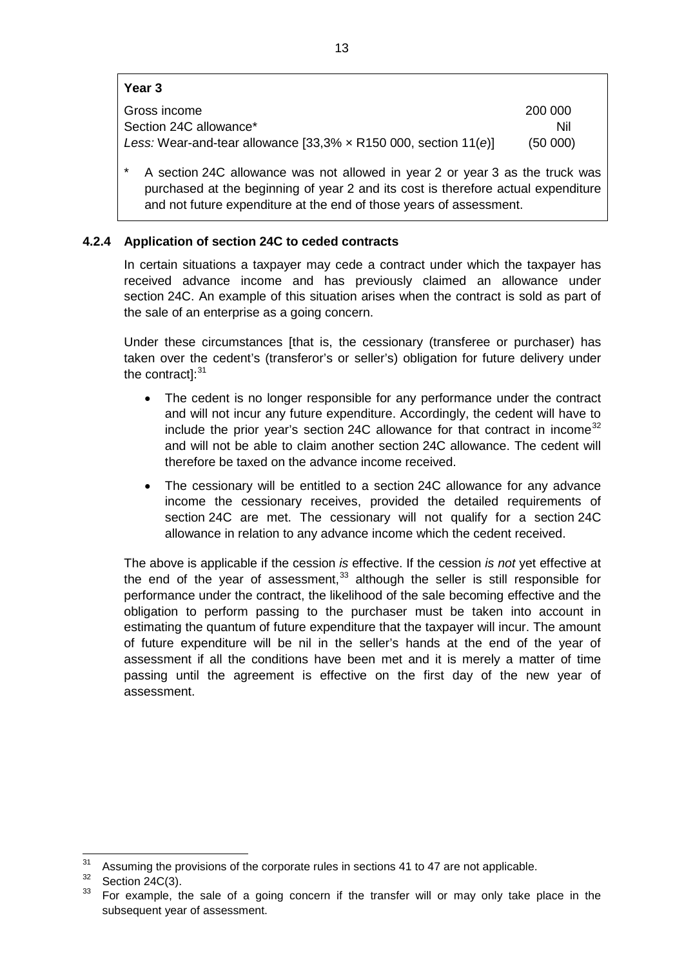#### **Year 3**

| Gross income                                                             | 200 000 |
|--------------------------------------------------------------------------|---------|
| Section 24C allowance*                                                   | Nil     |
| Less: Wear-and-tear allowance $[33,3% \times R150 000,$ section $11(e)]$ | (50000) |
|                                                                          |         |

A section 24C allowance was not allowed in year 2 or year 3 as the truck was purchased at the beginning of year 2 and its cost is therefore actual expenditure and not future expenditure at the end of those years of assessment.

# <span id="page-12-0"></span>**4.2.4 Application of section 24C to ceded contracts**

In certain situations a taxpayer may cede a contract under which the taxpayer has received advance income and has previously claimed an allowance under section 24C. An example of this situation arises when the contract is sold as part of the sale of an enterprise as a going concern.

Under these circumstances [that is, the cessionary (transferee or purchaser) has taken over the cedent's (transferor's or seller's) obligation for future delivery under the contract]:<sup>[31](#page-11-0)</sup>

- The cedent is no longer responsible for any performance under the contract and will not incur any future expenditure. Accordingly, the cedent will have to include the prior year's section 24C allowance for that contract in income  $32$ and will not be able to claim another section 24C allowance. The cedent will therefore be taxed on the advance income received.
- The cessionary will be entitled to a section 24C allowance for any advance income the cessionary receives, provided the detailed requirements of section 24C are met. The cessionary will not qualify for a section 24C allowance in relation to any advance income which the cedent received.

The above is applicable if the cession *is* effective. If the cession *is not* yet effective at the end of the year of assessment,  $33$  although the seller is still responsible for performance under the contract, the likelihood of the sale becoming effective and the obligation to perform passing to the purchaser must be taken into account in estimating the quantum of future expenditure that the taxpayer will incur. The amount of future expenditure will be nil in the seller's hands at the end of the year of assessment if all the conditions have been met and it is merely a matter of time passing until the agreement is effective on the first day of the new year of assessment.

<span id="page-12-3"></span> $31$  Assuming the provisions of the corporate rules in sections 41 to 47 are not applicable.

<span id="page-12-1"></span> $rac{32}{33}$  Section 24C(3).

<span id="page-12-2"></span>For example, the sale of a going concern if the transfer will or may only take place in the subsequent year of assessment.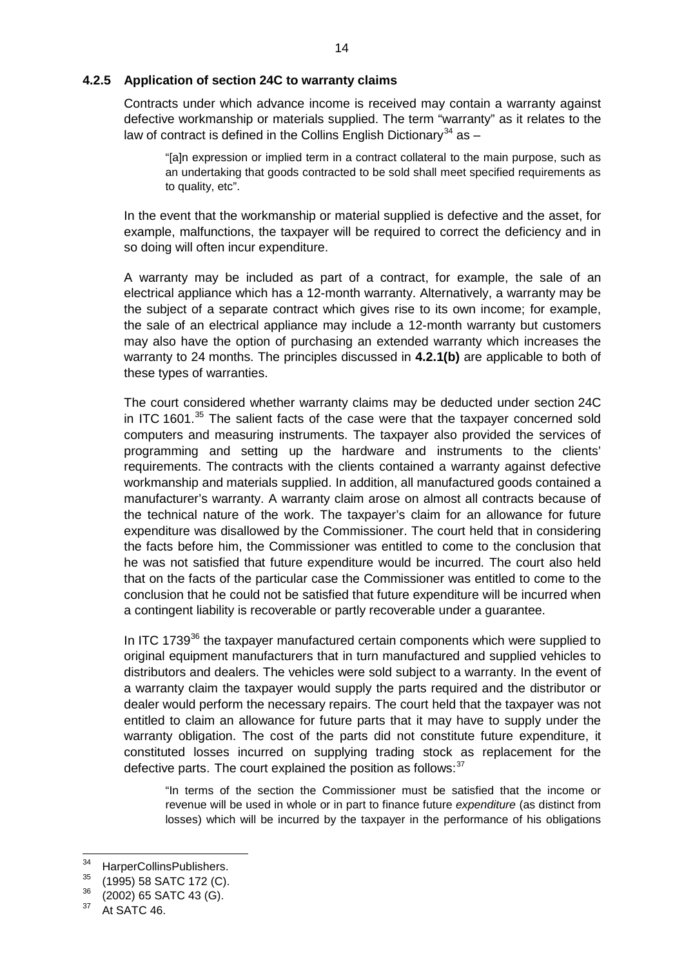#### <span id="page-13-0"></span>**4.2.5 Application of section 24C to warranty claims**

Contracts under which advance income is received may contain a warranty against defective workmanship or materials supplied. The term "warranty" as it relates to the law of contract is defined in the Collins English Dictionary<sup>[34](#page-12-3)</sup> as  $-$ 

"[a]n expression or implied term in a contract collateral to the main purpose, such as an undertaking that goods contracted to be sold shall meet specified requirements as to quality, etc".

In the event that the workmanship or material supplied is defective and the asset, for example, malfunctions, the taxpayer will be required to correct the deficiency and in so doing will often incur expenditure.

A warranty may be included as part of a contract, for example, the sale of an electrical appliance which has a 12-month warranty. Alternatively, a warranty may be the subject of a separate contract which gives rise to its own income; for example, the sale of an electrical appliance may include a 12-month warranty but customers may also have the option of purchasing an extended warranty which increases the warranty to 24 months. The principles discussed in **[4.2.1\(b\)](#page-7-0)** are applicable to both of these types of warranties.

The court considered whether warranty claims may be deducted under section 24C in ITC 1601.<sup>[35](#page-13-1)</sup> The salient facts of the case were that the taxpayer concerned sold computers and measuring instruments. The taxpayer also provided the services of programming and setting up the hardware and instruments to the clients' requirements. The contracts with the clients contained a warranty against defective workmanship and materials supplied. In addition, all manufactured goods contained a manufacturer's warranty. A warranty claim arose on almost all contracts because of the technical nature of the work. The taxpayer's claim for an allowance for future expenditure was disallowed by the Commissioner. The court held that in considering the facts before him, the Commissioner was entitled to come to the conclusion that he was not satisfied that future expenditure would be incurred. The court also held that on the facts of the particular case the Commissioner was entitled to come to the conclusion that he could not be satisfied that future expenditure will be incurred when a contingent liability is recoverable or partly recoverable under a guarantee.

In ITC 1739<sup>[36](#page-13-2)</sup> the taxpayer manufactured certain components which were supplied to original equipment manufacturers that in turn manufactured and supplied vehicles to distributors and dealers. The vehicles were sold subject to a warranty. In the event of a warranty claim the taxpayer would supply the parts required and the distributor or dealer would perform the necessary repairs. The court held that the taxpayer was not entitled to claim an allowance for future parts that it may have to supply under the warranty obligation. The cost of the parts did not constitute future expenditure, it constituted losses incurred on supplying trading stock as replacement for the defective parts. The court explained the position as follows:  $37$ 

"In terms of the section the Commissioner must be satisfied that the income or revenue will be used in whole or in part to finance future *expenditure* (as distinct from losses) which will be incurred by the taxpayer in the performance of his obligations

<sup>&</sup>lt;sup>34</sup> HarperCollinsPublishers.<br><sup>35</sup> (1995) 59.8179.179.(2)

<span id="page-13-4"></span><span id="page-13-1"></span> $\frac{35}{36}$  (1995) 58 SATC 172 (C).

<span id="page-13-2"></span> $36$  (2002) 65 SATC 43 (G).

<span id="page-13-3"></span>At SATC 46.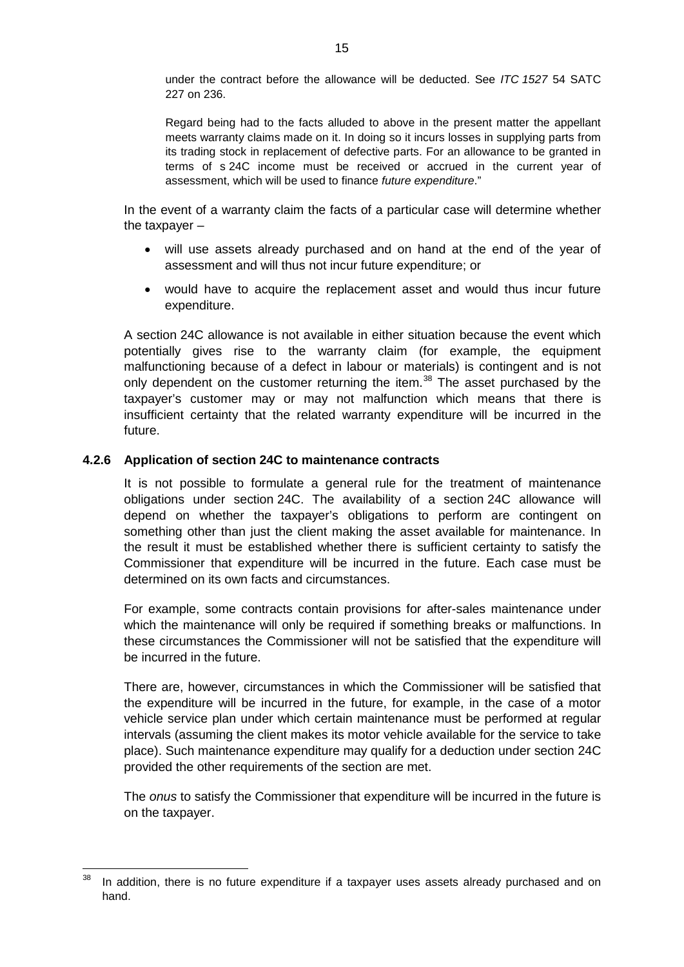under the contract before the allowance will be deducted. See *ITC 1527* 54 SATC 227 on 236.

Regard being had to the facts alluded to above in the present matter the appellant meets warranty claims made on it. In doing so it incurs losses in supplying parts from its trading stock in replacement of defective parts. For an allowance to be granted in terms of s [24C](http://10.16.18.9/nxt/gateway.dll/jilc/kilc/alrg/ulrg/vlrg/i2k0a#3tl) income must be received or accrued in the current year of assessment, which will be used to finance *future expenditure*."

In the event of a warranty claim the facts of a particular case will determine whether the taxpayer –

- will use assets already purchased and on hand at the end of the year of assessment and will thus not incur future expenditure; or
- would have to acquire the replacement asset and would thus incur future expenditure.

A section 24C allowance is not available in either situation because the event which potentially gives rise to the warranty claim (for example, the equipment malfunctioning because of a defect in labour or materials) is contingent and is not only dependent on the customer returning the item.<sup>[38](#page-13-4)</sup> The asset purchased by the taxpayer's customer may or may not malfunction which means that there is insufficient certainty that the related warranty expenditure will be incurred in the future.

# <span id="page-14-0"></span>**4.2.6 Application of section 24C to maintenance contracts**

It is not possible to formulate a general rule for the treatment of maintenance obligations under section 24C. The availability of a section 24C allowance will depend on whether the taxpayer's obligations to perform are contingent on something other than just the client making the asset available for maintenance. In the result it must be established whether there is sufficient certainty to satisfy the Commissioner that expenditure will be incurred in the future. Each case must be determined on its own facts and circumstances.

For example, some contracts contain provisions for after-sales maintenance under which the maintenance will only be required if something breaks or malfunctions. In these circumstances the Commissioner will not be satisfied that the expenditure will be incurred in the future.

There are, however, circumstances in which the Commissioner will be satisfied that the expenditure will be incurred in the future, for example, in the case of a motor vehicle service plan under which certain maintenance must be performed at regular intervals (assuming the client makes its motor vehicle available for the service to take place). Such maintenance expenditure may qualify for a deduction under section 24C provided the other requirements of the section are met.

The *onus* to satisfy the Commissioner that expenditure will be incurred in the future is on the taxpayer.

<span id="page-14-1"></span><sup>&</sup>lt;sup>38</sup> In addition, there is no future expenditure if a taxpayer uses assets already purchased and on hand.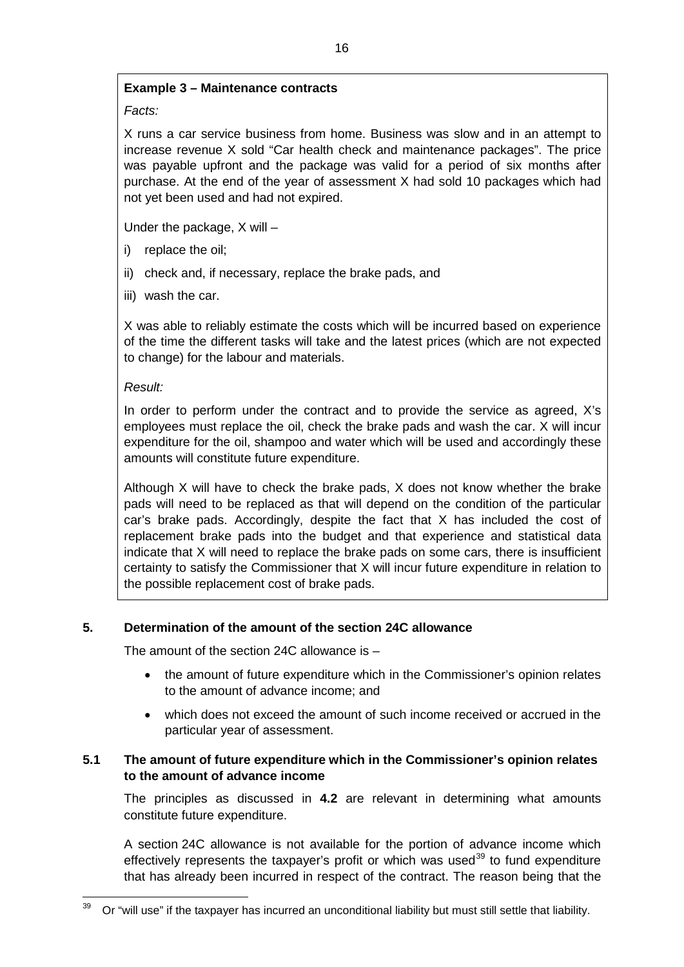# **Example 3 – Maintenance contracts**

*Facts:*

X runs a car service business from home. Business was slow and in an attempt to increase revenue X sold "Car health check and maintenance packages". The price was payable upfront and the package was valid for a period of six months after purchase. At the end of the year of assessment X had sold 10 packages which had not yet been used and had not expired.

Under the package, X will –

- i) replace the oil;
- ii) check and, if necessary, replace the brake pads, and
- iii) wash the car.

X was able to reliably estimate the costs which will be incurred based on experience of the time the different tasks will take and the latest prices (which are not expected to change) for the labour and materials.

# *Result:*

In order to perform under the contract and to provide the service as agreed, X's employees must replace the oil, check the brake pads and wash the car. X will incur expenditure for the oil, shampoo and water which will be used and accordingly these amounts will constitute future expenditure.

Although X will have to check the brake pads, X does not know whether the brake pads will need to be replaced as that will depend on the condition of the particular car's brake pads. Accordingly, despite the fact that X has included the cost of replacement brake pads into the budget and that experience and statistical data indicate that X will need to replace the brake pads on some cars, there is insufficient certainty to satisfy the Commissioner that X will incur future expenditure in relation to the possible replacement cost of brake pads.

# <span id="page-15-0"></span>**5. Determination of the amount of the section 24C allowance**

The amount of the section 24C allowance is –

- the amount of future expenditure which in the Commissioner's opinion relates to the amount of advance income; and
- which does not exceed the amount of such income received or accrued in the particular year of assessment.

# <span id="page-15-1"></span>**5.1 The amount of future expenditure which in the Commissioner's opinion relates to the amount of advance income**

The principles as discussed in **[4.2](#page-5-0)** are relevant in determining what amounts constitute future expenditure.

A section 24C allowance is not available for the portion of advance income which effectively represents the taxpayer's profit or which was used<sup>[39](#page-14-1)</sup> to fund expenditure that has already been incurred in respect of the contract. The reason being that the

<span id="page-15-2"></span> <sup>39</sup> Or "will use" if the taxpayer has incurred an unconditional liability but must still settle that liability.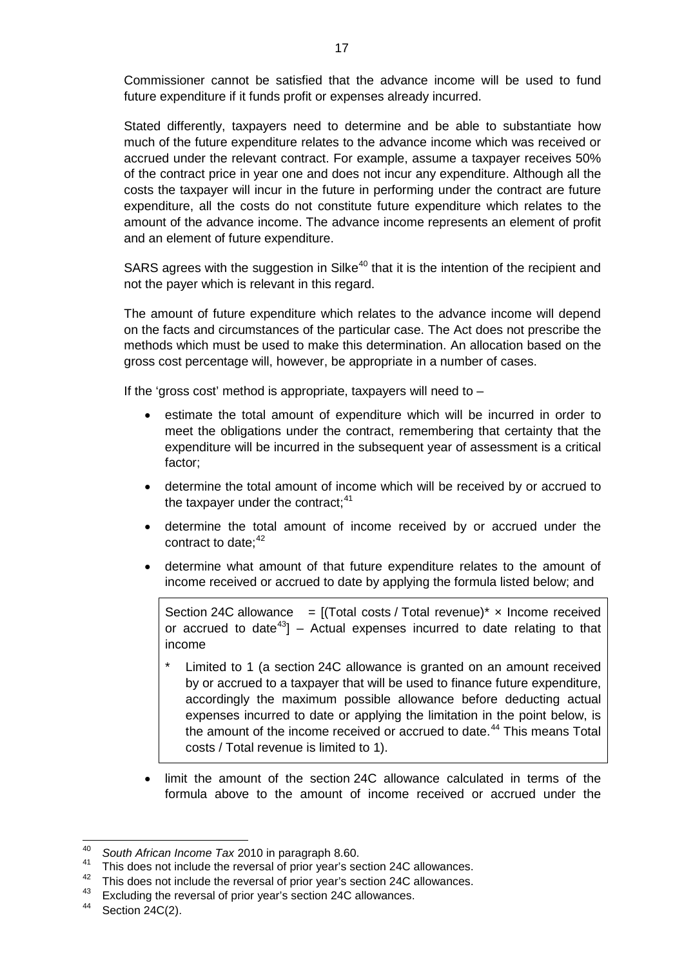Commissioner cannot be satisfied that the advance income will be used to fund future expenditure if it funds profit or expenses already incurred.

Stated differently, taxpayers need to determine and be able to substantiate how much of the future expenditure relates to the advance income which was received or accrued under the relevant contract. For example, assume a taxpayer receives 50% of the contract price in year one and does not incur any expenditure. Although all the costs the taxpayer will incur in the future in performing under the contract are future expenditure, all the costs do not constitute future expenditure which relates to the amount of the advance income. The advance income represents an element of profit and an element of future expenditure.

SARS agrees with the suggestion in Silke<sup>[40](#page-15-2)</sup> that it is the intention of the recipient and not the payer which is relevant in this regard.

The amount of future expenditure which relates to the advance income will depend on the facts and circumstances of the particular case. The Act does not prescribe the methods which must be used to make this determination. An allocation based on the gross cost percentage will, however, be appropriate in a number of cases.

If the 'gross cost' method is appropriate, taxpayers will need to  $-$ 

- estimate the total amount of expenditure which will be incurred in order to meet the obligations under the contract, remembering that certainty that the expenditure will be incurred in the subsequent year of assessment is a critical factor;
- determine the total amount of income which will be received by or accrued to the taxpayer under the contract;<sup>[41](#page-16-0)</sup>
- determine the total amount of income received by or accrued under the contract to date;<sup>[42](#page-16-1)</sup>
- determine what amount of that future expenditure relates to the amount of income received or accrued to date by applying the formula listed below; and

Section 24C allowance  $=$  [(Total costs / Total revenue)\*  $\times$  Income received or accrued to date<sup>[43](#page-16-2)</sup>] – Actual expenses incurred to date relating to that income

- Limited to 1 (a section 24C allowance is granted on an amount received by or accrued to a taxpayer that will be used to finance future expenditure, accordingly the maximum possible allowance before deducting actual expenses incurred to date or applying the limitation in the point below, is the amount of the income received or accrued to date.<sup>[44](#page-16-3)</sup> This means Total costs / Total revenue is limited to 1).
- limit the amount of the section 24C allowance calculated in terms of the formula above to the amount of income received or accrued under the

<sup>&</sup>lt;sup>40</sup> South African Income Tax 2010 in paragraph 8.60.<br><sup>41</sup> This does not include the reversal of prior year's section 24C allowances.

<span id="page-16-1"></span><span id="page-16-0"></span> $^{42}$  This does not include the reversal of prior year's section 24C allowances.

<span id="page-16-2"></span><sup>&</sup>lt;sup>43</sup> Excluding the reversal of prior year's section 24C allowances.<br><sup>44</sup> Section 24C(2)

<span id="page-16-3"></span>Section 24C(2).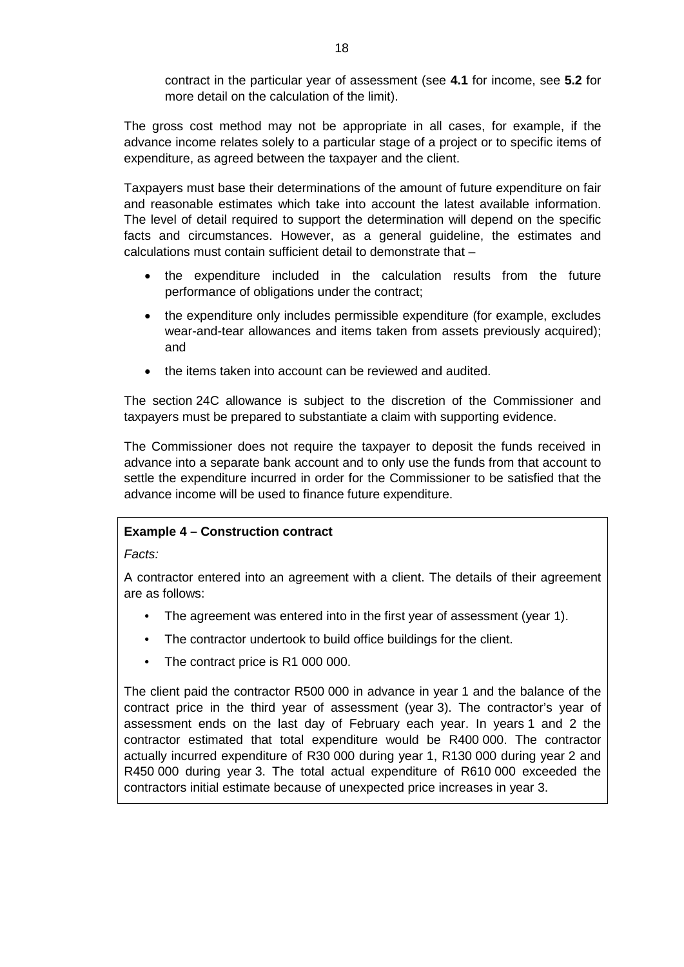contract in the particular year of assessment (see **[4.1](#page-3-0)** for income, see **[5.2](#page-20-0)** for more detail on the calculation of the limit).

The gross cost method may not be appropriate in all cases, for example, if the advance income relates solely to a particular stage of a project or to specific items of expenditure, as agreed between the taxpayer and the client.

Taxpayers must base their determinations of the amount of future expenditure on fair and reasonable estimates which take into account the latest available information. The level of detail required to support the determination will depend on the specific facts and circumstances. However, as a general guideline, the estimates and calculations must contain sufficient detail to demonstrate that –

- the expenditure included in the calculation results from the future performance of obligations under the contract;
- the expenditure only includes permissible expenditure (for example, excludes wear-and-tear allowances and items taken from assets previously acquired); and
- the items taken into account can be reviewed and audited.

The section 24C allowance is subject to the discretion of the Commissioner and taxpayers must be prepared to substantiate a claim with supporting evidence.

The Commissioner does not require the taxpayer to deposit the funds received in advance into a separate bank account and to only use the funds from that account to settle the expenditure incurred in order for the Commissioner to be satisfied that the advance income will be used to finance future expenditure.

# **Example 4 – Construction contract**

# *Facts:*

A contractor entered into an agreement with a client. The details of their agreement are as follows:

- The agreement was entered into in the first year of assessment (year 1).
- The contractor undertook to build office buildings for the client.
- The contract price is R1 000 000.

The client paid the contractor R500 000 in advance in year 1 and the balance of the contract price in the third year of assessment (year 3). The contractor's year of assessment ends on the last day of February each year. In years 1 and 2 the contractor estimated that total expenditure would be R400 000. The contractor actually incurred expenditure of R30 000 during year 1, R130 000 during year 2 and R450 000 during year 3. The total actual expenditure of R610 000 exceeded the contractors initial estimate because of unexpected price increases in year 3.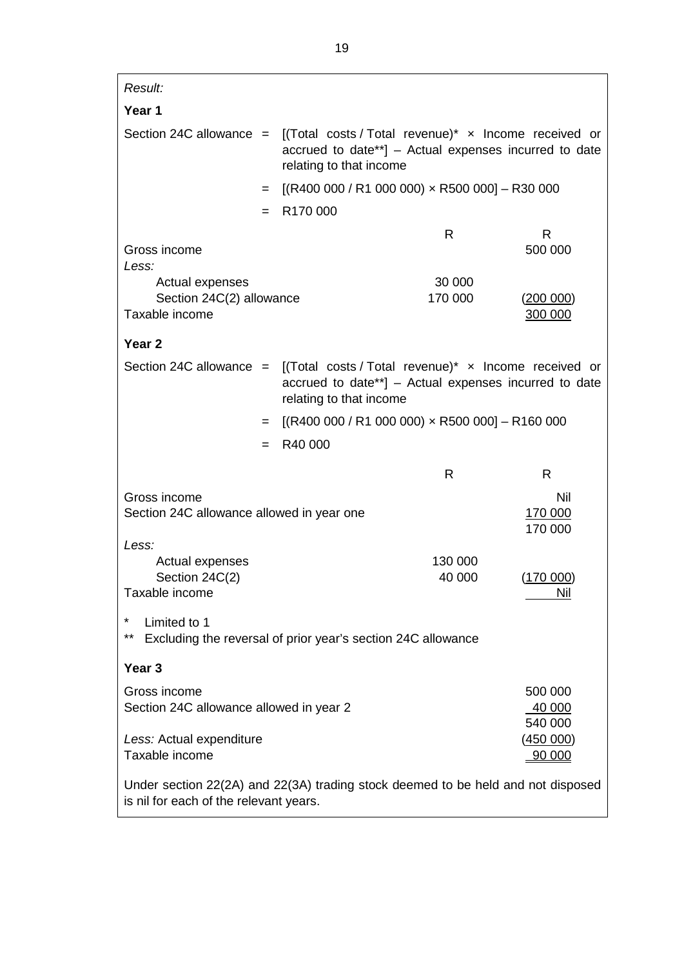| Result:                                                                                                                    |                                                                                                                                          |         |                      |
|----------------------------------------------------------------------------------------------------------------------------|------------------------------------------------------------------------------------------------------------------------------------------|---------|----------------------|
| Year 1                                                                                                                     |                                                                                                                                          |         |                      |
| Section 24C allowance = $[(Total costs / Total revenue)* x Income received or$                                             | accrued to date**] - Actual expenses incurred to date<br>relating to that income                                                         |         |                      |
| $=$                                                                                                                        | $[(R400 000 / R1 000 000) \times R500 000] - R30 000]$                                                                                   |         |                      |
| $=$                                                                                                                        | R170 000                                                                                                                                 |         |                      |
| Gross income<br>Less:                                                                                                      |                                                                                                                                          | R       | R<br>500 000         |
| Actual expenses                                                                                                            |                                                                                                                                          | 30 000  |                      |
| Section 24C(2) allowance<br>Taxable income                                                                                 |                                                                                                                                          | 170 000 | (200 000)<br>300 000 |
| Year <sub>2</sub>                                                                                                          |                                                                                                                                          |         |                      |
| Section 24C allowance $=$                                                                                                  | [(Total costs / Total revenue)* x Income received or<br>accrued to date**] - Actual expenses incurred to date<br>relating to that income |         |                      |
| $=$                                                                                                                        | $[(R400 000 / R1 000 000) \times R500 000] - R160 000]$                                                                                  |         |                      |
| $=$                                                                                                                        | R40 000                                                                                                                                  |         |                      |
|                                                                                                                            |                                                                                                                                          | R       | R                    |
| Gross income<br>Nil<br>Section 24C allowance allowed in year one<br>170 000                                                |                                                                                                                                          |         |                      |
| Less:                                                                                                                      |                                                                                                                                          |         | 170 000              |
| Actual expenses                                                                                                            |                                                                                                                                          | 130 000 |                      |
| Section 24C(2)<br>Taxable income                                                                                           |                                                                                                                                          | 40 000  | (170 000)<br>Nil     |
| Limited to 1<br>**<br>Excluding the reversal of prior year's section 24C allowance                                         |                                                                                                                                          |         |                      |
| Year <sub>3</sub>                                                                                                          |                                                                                                                                          |         |                      |
| Gross income<br>500 000<br>Section 24C allowance allowed in year 2<br>40 000                                               |                                                                                                                                          |         |                      |
| 540 000<br>Less: Actual expenditure<br>(450 000)<br>Taxable income<br>90 000                                               |                                                                                                                                          |         |                      |
| Under section 22(2A) and 22(3A) trading stock deemed to be held and not disposed<br>is nil for each of the relevant years. |                                                                                                                                          |         |                      |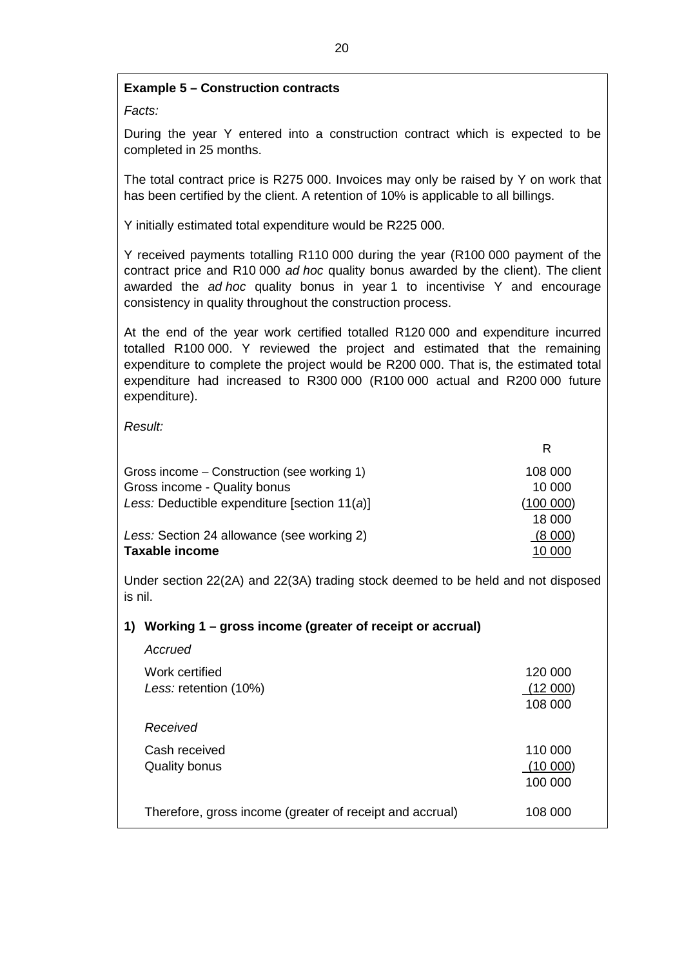# **Example 5 – Construction contracts**

*Facts:*

During the year Y entered into a construction contract which is expected to be completed in 25 months.

The total contract price is R275 000. Invoices may only be raised by Y on work that has been certified by the client. A retention of 10% is applicable to all billings.

Y initially estimated total expenditure would be R225 000.

Y received payments totalling R110 000 during the year (R100 000 payment of the contract price and R10 000 *ad hoc* quality bonus awarded by the client). The client awarded the *ad hoc* quality bonus in year 1 to incentivise Y and encourage consistency in quality throughout the construction process.

At the end of the year work certified totalled R120 000 and expenditure incurred totalled R100 000. Y reviewed the project and estimated that the remaining expenditure to complete the project would be R200 000. That is, the estimated total expenditure had increased to R300 000 (R100 000 actual and R200 000 future expenditure).

R

*Result:*

| Gross income – Construction (see working 1)  | 108 000  |
|----------------------------------------------|----------|
| Gross income - Quality bonus                 | 10 000   |
| Less: Deductible expenditure [section 11(a)] | (100000) |
|                                              | 18 000   |
| Less: Section 24 allowance (see working 2)   | (8000)   |
| <b>Taxable income</b>                        | 10 000   |

Under section 22(2A) and 22(3A) trading stock deemed to be held and not disposed is nil.

# **1) Working 1 – gross income (greater of receipt or accrual)**

| Accrued                                                  |                               |
|----------------------------------------------------------|-------------------------------|
| Work certified<br>Less: retention (10%)                  | 120 000<br>(12000)<br>108 000 |
| Received                                                 |                               |
| Cash received<br>Quality bonus                           | 110 000<br>(10000)<br>100 000 |
| Therefore, gross income (greater of receipt and accrual) | 108 000                       |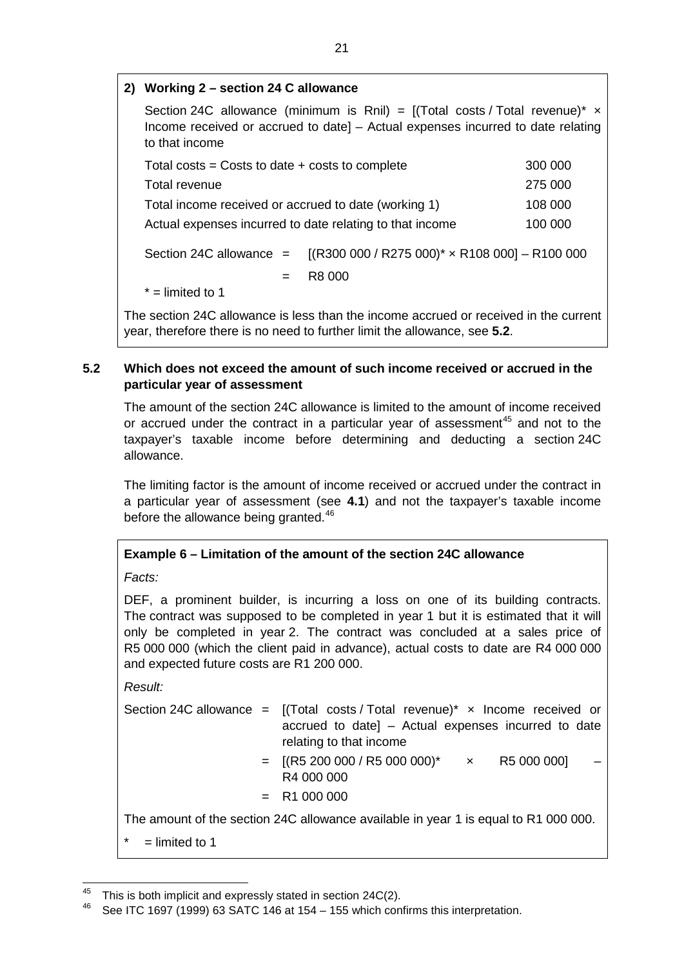# **2) Working 2 – section 24 C allowance**

Section 24C allowance (minimum is Rnil) =  $[(Total costs / Total events / x)$ Income received or accrued to date] – Actual expenses incurred to date relating to that income Total costs = Costs to date + costs to complete 300 000 Total revenue 275 000 Total income received or accrued to date (working 1) 108 000 Actual expenses incurred to date relating to that income 100 000 Section 24C allowance  $=$  [(R300 000 / R275 000)<sup>\*</sup>  $\times$  R108 000] – R100 000  $=$  R8 000  $* =$  limited to 1

The section 24C allowance is less than the income accrued or received in the current year, therefore there is no need to further limit the allowance, see **[5.2](#page-20-0)**.

# <span id="page-20-0"></span>**5.2 Which does not exceed the amount of such income received or accrued in the particular year of assessment**

The amount of the section 24C allowance is limited to the amount of income received or accrued under the contract in a particular year of assessment<sup>[45](#page-16-2)</sup> and not to the taxpayer's taxable income before determining and deducting a section 24C allowance.

The limiting factor is the amount of income received or accrued under the contract in a particular year of assessment (see **[4.1](#page-3-0)**) and not the taxpayer's taxable income before the allowance being granted.<sup>[46](#page-20-1)</sup>

# **Example 6 – Limitation of the amount of the section 24C allowance**

*Facts:*

DEF, a prominent builder, is incurring a loss on one of its building contracts. The contract was supposed to be completed in year 1 but it is estimated that it will only be completed in year 2. The contract was concluded at a sales price of R5 000 000 (which the client paid in advance), actual costs to date are R4 000 000 and expected future costs are R1 200 000.

*Result:*

|                  | Section 24C allowance = $[(Total costs / Total revenue)* x$ Income received or<br>accrued to date] - Actual expenses incurred to date<br>relating to that income |
|------------------|------------------------------------------------------------------------------------------------------------------------------------------------------------------|
|                  | $=$ [(R5 200 000 / R5 000 000)* $\times$<br>R5 000 0001<br>R4 000 000                                                                                            |
|                  | $= R1000000$                                                                                                                                                     |
|                  | The amount of the section 24C allowance available in year 1 is equal to R1 000 000.                                                                              |
| $=$ limited to 1 |                                                                                                                                                                  |

<sup>&</sup>lt;sup>45</sup> This is both implicit and expressly stated in section 24C(2).<br><sup>46</sup> See JTC 1607 (1000) 62 SATC 146 at 154 155 which ean

<span id="page-20-1"></span>See ITC 1697 (1999) 63 SATC 146 at 154 – 155 which confirms this interpretation.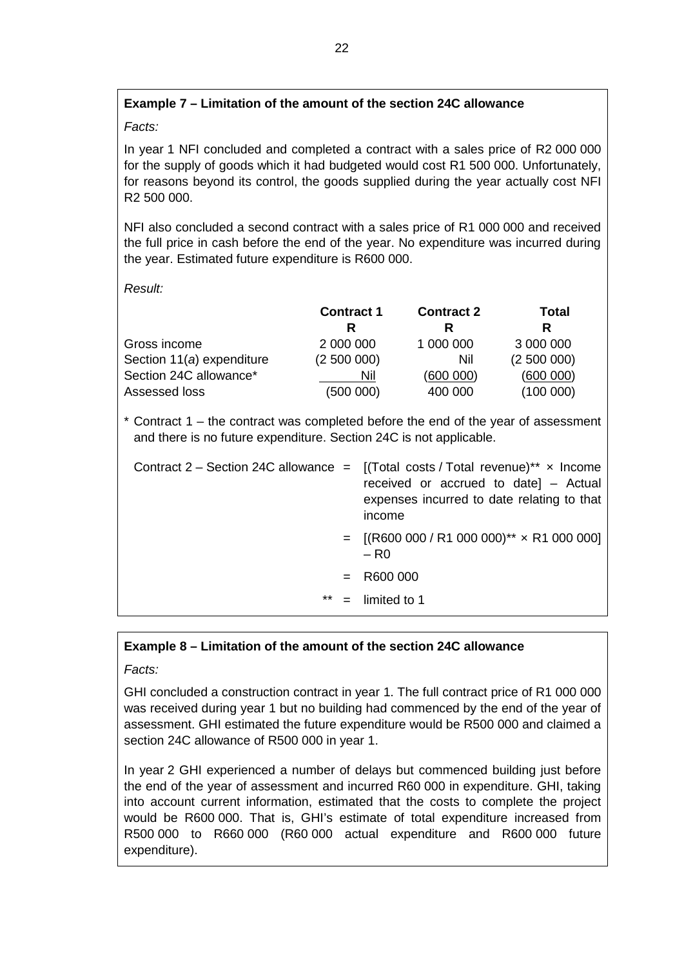# **Example 7 – Limitation of the amount of the section 24C allowance**

*Facts:*

In year 1 NFI concluded and completed a contract with a sales price of R2 000 000 for the supply of goods which it had budgeted would cost R1 500 000. Unfortunately, for reasons beyond its control, the goods supplied during the year actually cost NFI R2 500 000.

NFI also concluded a second contract with a sales price of R1 000 000 and received the full price in cash before the end of the year. No expenditure was incurred during the year. Estimated future expenditure is R600 000.

*Result:*

|                           | <b>Contract 1</b> | <b>Contract 2</b> | <b>Total</b> |  |
|---------------------------|-------------------|-------------------|--------------|--|
|                           | R                 | R                 | R            |  |
| Gross income              | 2 000 000         | 1 000 000         | 3 000 000    |  |
| Section 11(a) expenditure | (2500000)         | Nil               | (2500000)    |  |
| Section 24C allowance*    | Nil               | (600000)          | (600000)     |  |
| Assessed loss             | (500000)          | 400 000           | (100000)     |  |

\* Contract 1 – the contract was completed before the end of the year of assessment and there is no future expenditure. Section 24C is not applicable.

|       | Contract 2 – Section 24C allowance = $[(Total costs / Total revenue)^{**} \times Income$<br>received or accrued to date] - Actual<br>expenses incurred to date relating to that<br>income |
|-------|-------------------------------------------------------------------------------------------------------------------------------------------------------------------------------------------|
|       | $=$ [(R600 000 / R1 000 000)** x R1 000 000]<br>$-$ R <sub>0</sub>                                                                                                                        |
|       | $=$ R600 000                                                                                                                                                                              |
| $***$ | $=$ limited to 1                                                                                                                                                                          |

# **Example 8 – Limitation of the amount of the section 24C allowance**

*Facts:*

GHI concluded a construction contract in year 1. The full contract price of R1 000 000 was received during year 1 but no building had commenced by the end of the year of assessment. GHI estimated the future expenditure would be R500 000 and claimed a section 24C allowance of R500 000 in year 1.

In year 2 GHI experienced a number of delays but commenced building just before the end of the year of assessment and incurred R60 000 in expenditure. GHI, taking into account current information, estimated that the costs to complete the project would be R600 000. That is, GHI's estimate of total expenditure increased from R500 000 to R660 000 (R60 000 actual expenditure and R600 000 future expenditure).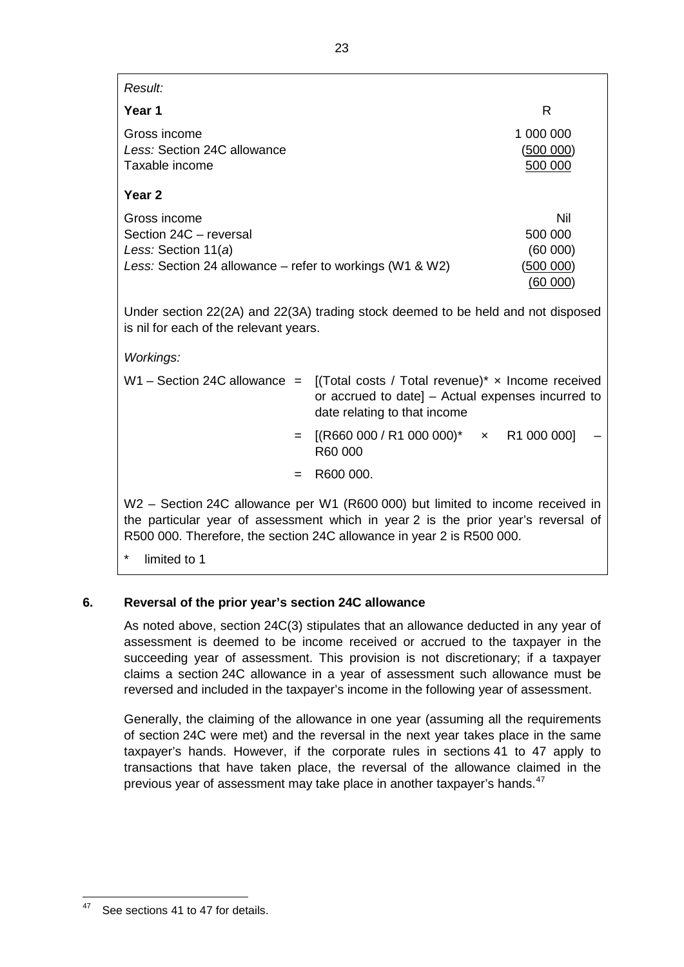| <i><b>Result:</b></i>                                                                                                                                                             |  |                                                   |  |
|-----------------------------------------------------------------------------------------------------------------------------------------------------------------------------------|--|---------------------------------------------------|--|
| Year 1                                                                                                                                                                            |  | R                                                 |  |
| Gross income<br>Less: Section 24C allowance<br>Taxable income                                                                                                                     |  | 1 000 000<br>(500000)<br>500 000                  |  |
| Year 2                                                                                                                                                                            |  |                                                   |  |
| Gross income<br>Section 24C - reversal<br>Less: Section $11(a)$<br>Less: Section 24 allowance – refer to workings (W1 & W2)                                                       |  | Nil<br>500 000<br>(60 000)<br>(500000)<br>(60000) |  |
| Under section 22(2A) and 22(3A) trading stock deemed to be held and not disposed<br>is nil for each of the relevant years.                                                        |  |                                                   |  |
| Workings:                                                                                                                                                                         |  |                                                   |  |
| $W1 -$ Section 24C allowance $=$<br>[(Total costs / Total revenue)* $\times$ Income received<br>or accrued to date] – Actual expenses incurred to<br>date relating to that income |  |                                                   |  |

- $=$  [(R660 000 / R1 000 000)\*  $\times$  R1 000 000] R60 000
	- $=$  R600 000.

W2 – Section 24C allowance per W1 (R600 000) but limited to income received in the particular year of assessment which in year 2 is the prior year's reversal of R500 000. Therefore, the section 24C allowance in year 2 is R500 000.

limited to 1

# <span id="page-22-0"></span>**6. Reversal of the prior year's section 24C allowance**

As noted above, section 24C(3) stipulates that an allowance deducted in any year of assessment is deemed to be income received or accrued to the taxpayer in the succeeding year of assessment. This provision is not discretionary; if a taxpayer claims a section 24C allowance in a year of assessment such allowance must be reversed and included in the taxpayer's income in the following year of assessment.

Generally, the claiming of the allowance in one year (assuming all the requirements of section 24C were met) and the reversal in the next year takes place in the same taxpayer's hands. However, if the corporate rules in sections 41 to 47 apply to transactions that have taken place, the reversal of the allowance claimed in the previous year of assessment may take place in another taxpayer's hands.<sup>[47](#page-20-1)</sup>

<span id="page-22-1"></span><sup>&</sup>lt;sup>47</sup> See sections 41 to 47 for details.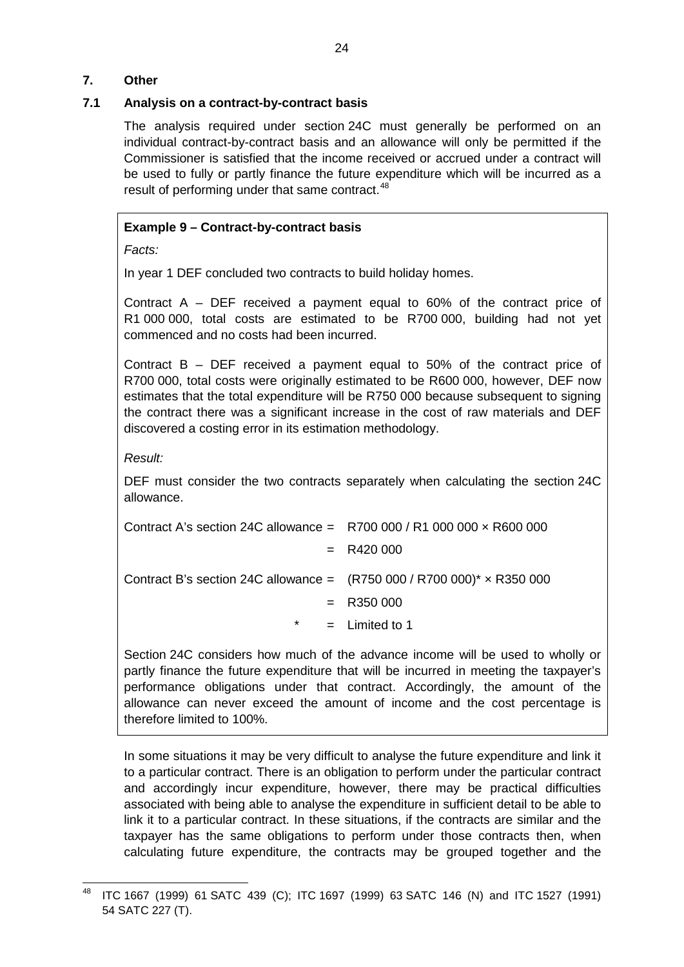# <span id="page-23-0"></span>**7. Other**

# <span id="page-23-1"></span>**7.1 Analysis on a contract-by-contract basis**

The analysis required under section 24C must generally be performed on an individual contract-by-contract basis and an allowance will only be permitted if the Commissioner is satisfied that the income received or accrued under a contract will be used to fully or partly finance the future expenditure which will be incurred as a result of performing under that same contract.<sup>[48](#page-22-1)</sup>

# **Example 9 – Contract-by-contract basis**

*Facts:*

In year 1 DEF concluded two contracts to build holiday homes.

Contract A – DEF received a payment equal to 60% of the contract price of R1 000 000, total costs are estimated to be R700 000, building had not yet commenced and no costs had been incurred.

Contract B – DEF received a payment equal to 50% of the contract price of R700 000, total costs were originally estimated to be R600 000, however, DEF now estimates that the total expenditure will be R750 000 because subsequent to signing the contract there was a significant increase in the cost of raw materials and DEF discovered a costing error in its estimation methodology.

*Result:*

DEF must consider the two contracts separately when calculating the section 24C allowance.

| Contract A's section 24C allowance = $R700000/R1000000 \times R600000$         |                  |
|--------------------------------------------------------------------------------|------------------|
|                                                                                | $= R420000$      |
| Contract B's section 24C allowance = $(R750 000 / R700 000)^* \times R350 000$ |                  |
|                                                                                | $=$ R350 000     |
| $\star$                                                                        | $=$ Limited to 1 |

Section 24C considers how much of the advance income will be used to wholly or partly finance the future expenditure that will be incurred in meeting the taxpayer's performance obligations under that contract. Accordingly, the amount of the allowance can never exceed the amount of income and the cost percentage is therefore limited to 100%.

In some situations it may be very difficult to analyse the future expenditure and link it to a particular contract. There is an obligation to perform under the particular contract and accordingly incur expenditure, however, there may be practical difficulties associated with being able to analyse the expenditure in sufficient detail to be able to link it to a particular contract. In these situations, if the contracts are similar and the taxpayer has the same obligations to perform under those contracts then, when calculating future expenditure, the contracts may be grouped together and the

<span id="page-23-2"></span> <sup>48</sup> ITC 1667 (1999) 61 SATC 439 (C); ITC 1697 (1999) 63 SATC 146 (N) and ITC 1527 (1991) 54 SATC 227 (T).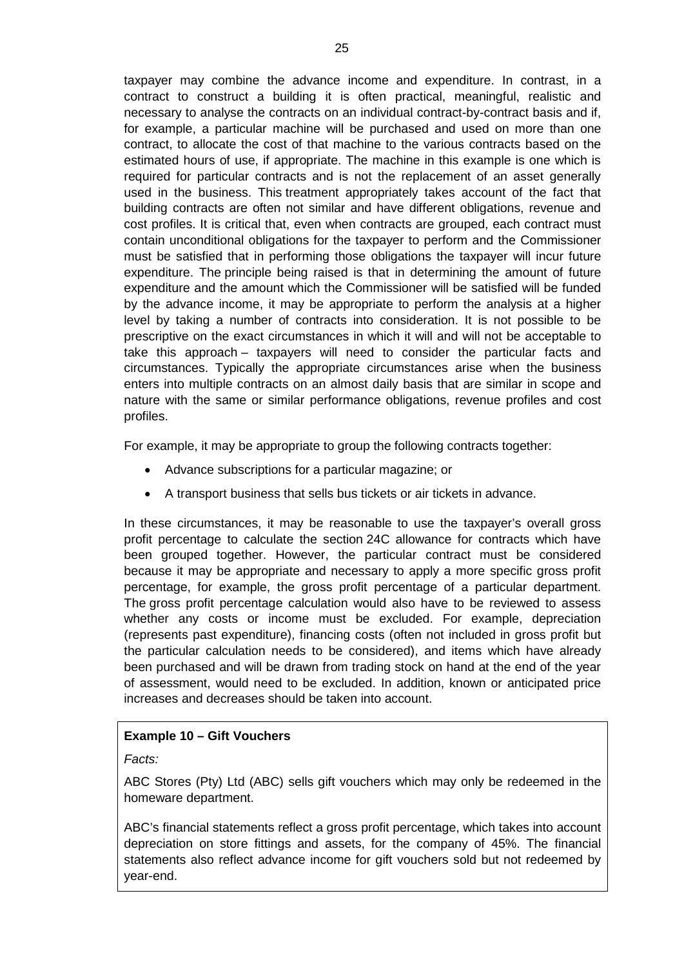taxpayer may combine the advance income and expenditure. In contrast, in a contract to construct a building it is often practical, meaningful, realistic and necessary to analyse the contracts on an individual contract-by-contract basis and if, for example, a particular machine will be purchased and used on more than one contract, to allocate the cost of that machine to the various contracts based on the estimated hours of use, if appropriate. The machine in this example is one which is required for particular contracts and is not the replacement of an asset generally used in the business. This treatment appropriately takes account of the fact that building contracts are often not similar and have different obligations, revenue and cost profiles. It is critical that, even when contracts are grouped, each contract must contain unconditional obligations for the taxpayer to perform and the Commissioner must be satisfied that in performing those obligations the taxpayer will incur future expenditure. The principle being raised is that in determining the amount of future expenditure and the amount which the Commissioner will be satisfied will be funded by the advance income, it may be appropriate to perform the analysis at a higher level by taking a number of contracts into consideration. It is not possible to be prescriptive on the exact circumstances in which it will and will not be acceptable to take this approach – taxpayers will need to consider the particular facts and circumstances. Typically the appropriate circumstances arise when the business enters into multiple contracts on an almost daily basis that are similar in scope and nature with the same or similar performance obligations, revenue profiles and cost profiles.

For example, it may be appropriate to group the following contracts together:

- Advance subscriptions for a particular magazine; or
- A transport business that sells bus tickets or air tickets in advance.

In these circumstances, it may be reasonable to use the taxpayer's overall gross profit percentage to calculate the section 24C allowance for contracts which have been grouped together. However, the particular contract must be considered because it may be appropriate and necessary to apply a more specific gross profit percentage, for example, the gross profit percentage of a particular department. The gross profit percentage calculation would also have to be reviewed to assess whether any costs or income must be excluded. For example, depreciation (represents past expenditure), financing costs (often not included in gross profit but the particular calculation needs to be considered), and items which have already been purchased and will be drawn from trading stock on hand at the end of the year of assessment, would need to be excluded. In addition, known or anticipated price increases and decreases should be taken into account.

# **Example 10 – Gift Vouchers**

*Facts:*

ABC Stores (Pty) Ltd (ABC) sells gift vouchers which may only be redeemed in the homeware department.

ABC's financial statements reflect a gross profit percentage, which takes into account depreciation on store fittings and assets, for the company of 45%. The financial statements also reflect advance income for gift vouchers sold but not redeemed by year-end.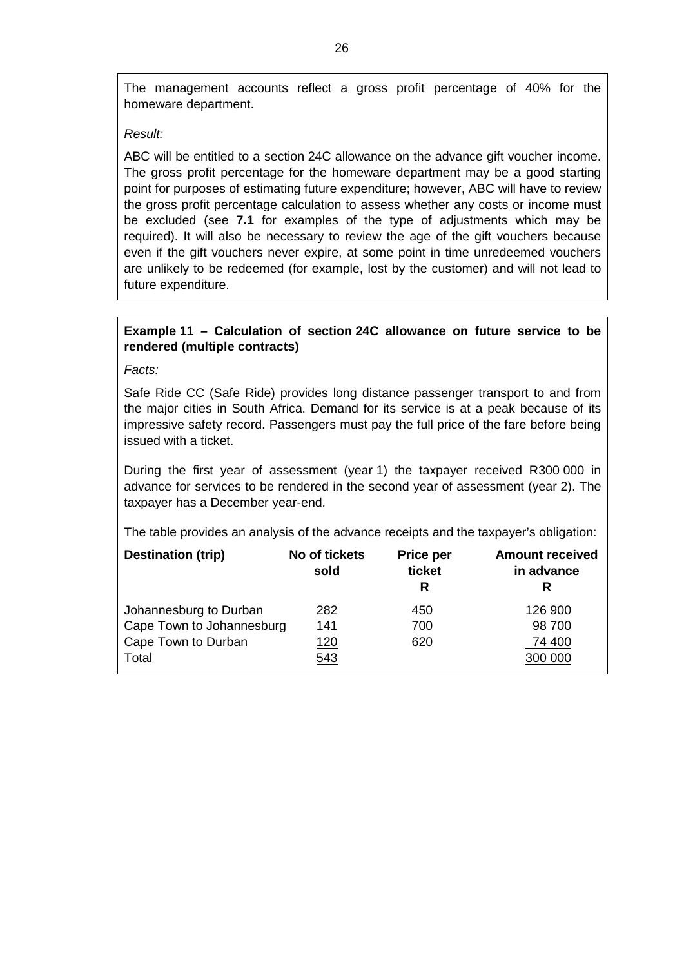The management accounts reflect a gross profit percentage of 40% for the homeware department.

#### *Result:*

ABC will be entitled to a section 24C allowance on the advance gift voucher income. The gross profit percentage for the homeware department may be a good starting point for purposes of estimating future expenditure; however, ABC will have to review the gross profit percentage calculation to assess whether any costs or income must be excluded (see **[7.1](#page-23-1)** for examples of the type of adjustments which may be required). It will also be necessary to review the age of the gift vouchers because even if the gift vouchers never expire, at some point in time unredeemed vouchers are unlikely to be redeemed (for example, lost by the customer) and will not lead to future expenditure.

# **Example 11 – Calculation of section 24C allowance on future service to be rendered (multiple contracts)**

*Facts:*

Safe Ride CC (Safe Ride) provides long distance passenger transport to and from the major cities in South Africa. Demand for its service is at a peak because of its impressive safety record. Passengers must pay the full price of the fare before being issued with a ticket.

During the first year of assessment (year 1) the taxpayer received R300 000 in advance for services to be rendered in the second year of assessment (year 2). The taxpayer has a December year-end.

The table provides an analysis of the advance receipts and the taxpayer's obligation:

| <b>Destination (trip)</b> | No of tickets<br>sold | <b>Price per</b><br>ticket<br>R | <b>Amount received</b><br>in advance<br>R |
|---------------------------|-----------------------|---------------------------------|-------------------------------------------|
| Johannesburg to Durban    | 282                   | 450                             | 126 900                                   |
| Cape Town to Johannesburg | 141                   | 700                             | 98 700                                    |
| Cape Town to Durban       | <u> 120</u>           | 620                             | 74 400                                    |
| Total                     | 543                   |                                 | 300 000                                   |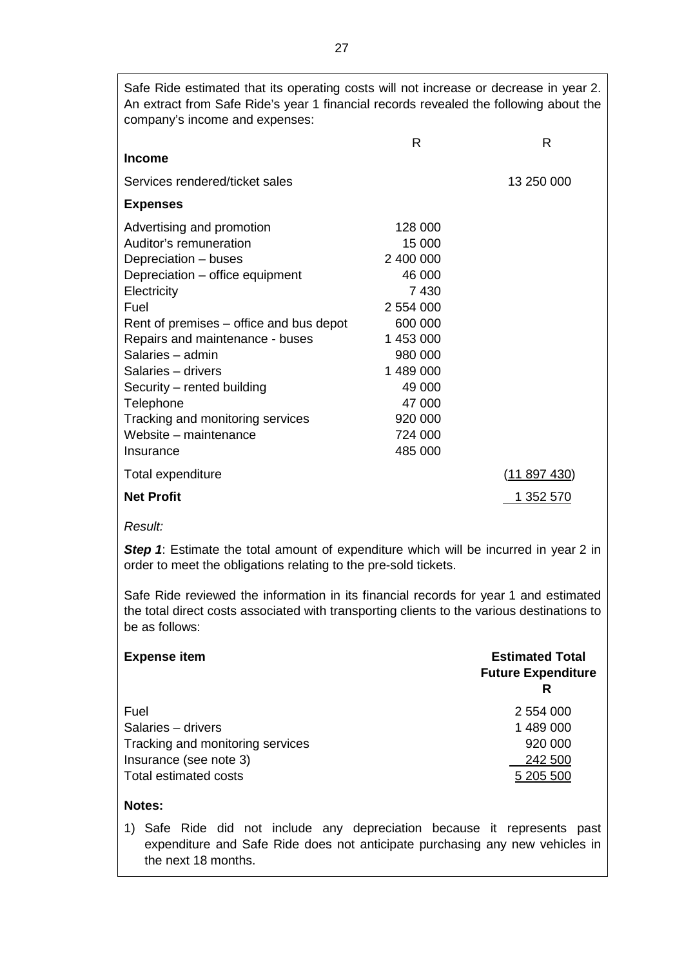Safe Ride estimated that its operating costs will not increase or decrease in year 2. An extract from Safe Ride's year 1 financial records revealed the following about the company's income and expenses:

|                                         | R         | R            |
|-----------------------------------------|-----------|--------------|
| <b>Income</b>                           |           |              |
| Services rendered/ticket sales          |           | 13 250 000   |
| <b>Expenses</b>                         |           |              |
| Advertising and promotion               | 128 000   |              |
| Auditor's remuneration                  | 15 000    |              |
| Depreciation – buses                    | 2 400 000 |              |
| Depreciation – office equipment         | 46 000    |              |
| Electricity                             | 7430      |              |
| Fuel                                    | 2 554 000 |              |
| Rent of premises – office and bus depot | 600 000   |              |
| Repairs and maintenance - buses         | 1 453 000 |              |
| Salaries – admin                        | 980 000   |              |
| Salaries – drivers                      | 1 489 000 |              |
| Security – rented building              | 49 000    |              |
| Telephone                               | 47 000    |              |
| Tracking and monitoring services        | 920 000   |              |
| Website – maintenance                   | 724 000   |              |
| Insurance                               | 485 000   |              |
| Total expenditure                       |           | (11 897 430) |
| <b>Net Profit</b>                       |           | 1 352 570    |

#### *Result:*

**Step 1:** Estimate the total amount of expenditure which will be incurred in year 2 in order to meet the obligations relating to the pre-sold tickets.

Safe Ride reviewed the information in its financial records for year 1 and estimated the total direct costs associated with transporting clients to the various destinations to be as follows:

| <b>Expense item</b>              | <b>Estimated Total</b><br><b>Future Expenditure</b><br>R |  |  |
|----------------------------------|----------------------------------------------------------|--|--|
| Fuel                             | 2 554 000                                                |  |  |
| Salaries - drivers               | 1 489 000                                                |  |  |
| Tracking and monitoring services | 920 000                                                  |  |  |
| Insurance (see note 3)           | 242 500                                                  |  |  |
| Total estimated costs            | 5 205 500                                                |  |  |

# **Notes:**

1) Safe Ride did not include any depreciation because it represents past expenditure and Safe Ride does not anticipate purchasing any new vehicles in the next 18 months.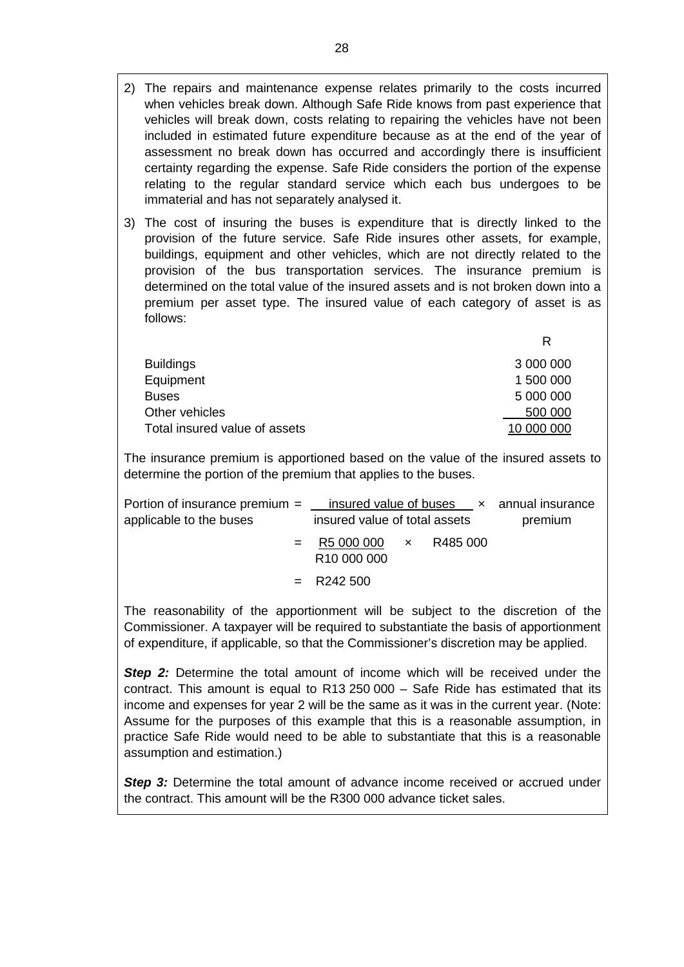- 2) The repairs and maintenance expense relates primarily to the costs incurred when vehicles break down. Although Safe Ride knows from past experience that vehicles will break down, costs relating to repairing the vehicles have not been included in estimated future expenditure because as at the end of the year of assessment no break down has occurred and accordingly there is insufficient certainty regarding the expense. Safe Ride considers the portion of the expense relating to the regular standard service which each bus undergoes to be immaterial and has not separately analysed it.
- 3) The cost of insuring the buses is expenditure that is directly linked to the provision of the future service. Safe Ride insures other assets, for example, buildings, equipment and other vehicles, which are not directly related to the provision of the bus transportation services. The insurance premium is determined on the total value of the insured assets and is not broken down into a premium per asset type. The insured value of each category of asset is as follows:

| <b>Buildings</b>              | 3 000 000  |
|-------------------------------|------------|
| Equipment                     | 1 500 000  |
| Buses                         | 5 000 000  |
| Other vehicles                | 500 000    |
| Total insured value of assets | 10 000 000 |

The insurance premium is apportioned based on the value of the insured assets to determine the portion of the premium that applies to the buses.

| Portion of insurance premium $=$ insured value of buses $\times$ annual insurance |                                                             |  |         |
|-----------------------------------------------------------------------------------|-------------------------------------------------------------|--|---------|
| applicable to the buses                                                           | insured value of total assets                               |  | premium |
|                                                                                   | $=$ R5 000 000 $\times$ R485 000<br>R <sub>10</sub> 000 000 |  |         |
|                                                                                   | $=$ R242 500                                                |  |         |

The reasonability of the apportionment will be subject to the discretion of the Commissioner. A taxpayer will be required to substantiate the basis of apportionment of expenditure, if applicable, so that the Commissioner's discretion may be applied.

*Step 2:* Determine the total amount of income which will be received under the contract. This amount is equal to R13 250 000 – Safe Ride has estimated that its income and expenses for year 2 will be the same as it was in the current year. (Note: Assume for the purposes of this example that this is a reasonable assumption, in practice Safe Ride would need to be able to substantiate that this is a reasonable assumption and estimation.)

**Step 3:** Determine the total amount of advance income received or accrued under the contract. This amount will be the R300 000 advance ticket sales.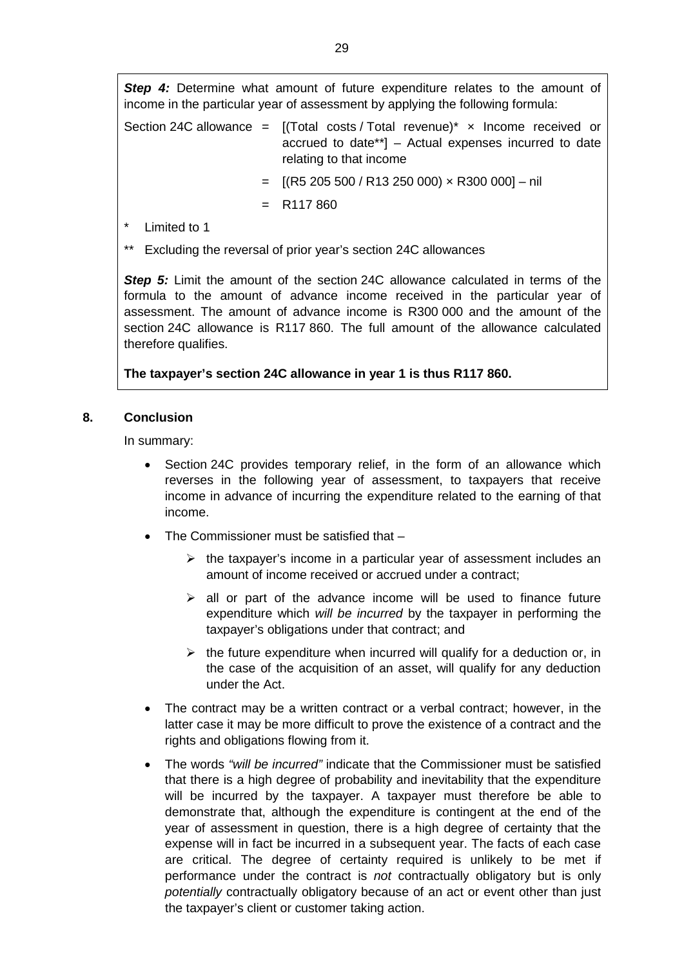**Step 4:** Determine what amount of future expenditure relates to the amount of income in the particular year of assessment by applying the following formula:

|  | Section 24C allowance = $[(Total costs / Total events / -) * x]$ Income received or |
|--|-------------------------------------------------------------------------------------|
|  | accrued to date**] – Actual expenses incurred to date                               |
|  | relating to that income                                                             |

- $=$  [(R5 205 500 / R13 250 000)  $\times$  R300 000] nil
- $=$  R117 860
- Limited to 1

Excluding the reversal of prior year's section 24C allowances

*Step 5:* Limit the amount of the section 24C allowance calculated in terms of the formula to the amount of advance income received in the particular year of assessment. The amount of advance income is R300 000 and the amount of the section 24C allowance is R117 860. The full amount of the allowance calculated therefore qualifies.

**The taxpayer's section 24C allowance in year 1 is thus R117 860.**

# <span id="page-28-0"></span>**8. Conclusion**

In summary:

- Section 24C provides temporary relief, in the form of an allowance which reverses in the following year of assessment, to taxpayers that receive income in advance of incurring the expenditure related to the earning of that income.
- The Commissioner must be satisfied that
	- $\triangleright$  the taxpayer's income in a particular year of assessment includes an amount of income received or accrued under a contract;
	- $\ge$  all or part of the advance income will be used to finance future expenditure which *will be incurred* by the taxpayer in performing the taxpayer's obligations under that contract; and
	- $\triangleright$  the future expenditure when incurred will qualify for a deduction or, in the case of the acquisition of an asset, will qualify for any deduction under the Act.
- The contract may be a written contract or a verbal contract; however, in the latter case it may be more difficult to prove the existence of a contract and the rights and obligations flowing from it.
- The words *"will be incurred"* indicate that the Commissioner must be satisfied that there is a high degree of probability and inevitability that the expenditure will be incurred by the taxpayer. A taxpayer must therefore be able to demonstrate that, although the expenditure is contingent at the end of the year of assessment in question, there is a high degree of certainty that the expense will in fact be incurred in a subsequent year. The facts of each case are critical. The degree of certainty required is unlikely to be met if performance under the contract is *not* contractually obligatory but is only *potentially* contractually obligatory because of an act or event other than just the taxpayer's client or customer taking action.